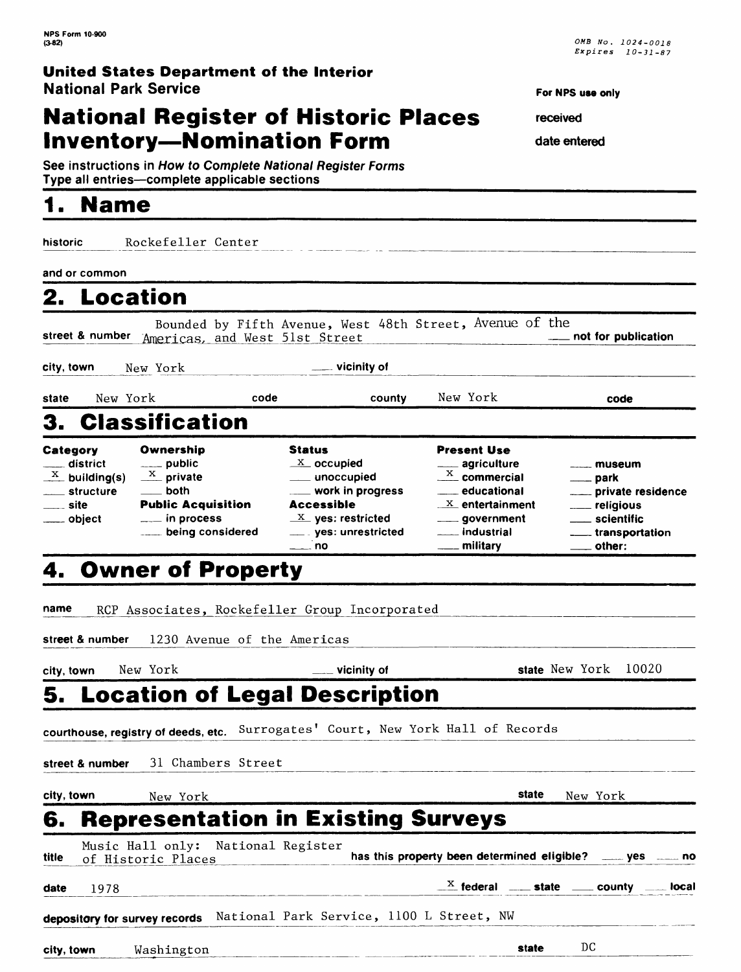## **National Register of Historic Places Inventory-Nomination Form**

**See instructions in How to Complete National Register Forms** Type all entries-complete applicable sections

## **1. Name**

**historic** Rockefeller Center

**and or common**

| 2. Location                                                                                                              |                                                                                                                                                                 |                                                                                                                                                                                                       |                                                                                                                                                                  |                                                                                                                                                                        |
|--------------------------------------------------------------------------------------------------------------------------|-----------------------------------------------------------------------------------------------------------------------------------------------------------------|-------------------------------------------------------------------------------------------------------------------------------------------------------------------------------------------------------|------------------------------------------------------------------------------------------------------------------------------------------------------------------|------------------------------------------------------------------------------------------------------------------------------------------------------------------------|
| street & number                                                                                                          | Americas, and West 51st Street                                                                                                                                  | Bounded by Fifth Avenue, West 48th Street, Avenue of the                                                                                                                                              |                                                                                                                                                                  |                                                                                                                                                                        |
| city, town                                                                                                               | New York                                                                                                                                                        | $\equiv$ vicinity of                                                                                                                                                                                  |                                                                                                                                                                  |                                                                                                                                                                        |
| New York<br>state                                                                                                        |                                                                                                                                                                 | code<br>county                                                                                                                                                                                        | New York                                                                                                                                                         | code                                                                                                                                                                   |
|                                                                                                                          | 3. Classification                                                                                                                                               |                                                                                                                                                                                                       |                                                                                                                                                                  |                                                                                                                                                                        |
| Category<br>___ district<br>$\frac{X}{X}$ building(s)<br><u>_</u> ___ structure<br>____ site<br><sub>------</sub> object | Ownership<br>$\frac{1}{2}$ public<br>$\frac{X}{X}$ private<br>$\rule{1em}{0.15mm}$ both<br><b>Public Acquisition</b><br>$\equiv$ in process<br>being considered | <b>Status</b><br>$\underline{X}$ occupied<br>___ unoccupied<br>___ work in progress<br><b>Accessible</b><br>$\underline{X}$ yes: restricted<br>_____ yes: unrestricted<br>$\overline{\phantom{a}}$ no | <b>Present Use</b><br>___ agriculture<br>$\frac{X}{1}$ commercial<br>____ educational<br>$X$ entertainment<br>_____ government<br>___ industrial<br>___ military | $\frac{1}{2}$ museum<br><u>__</u> __ park<br>____ private residence<br>___ religious<br><u>__</u> __ scientific<br>_____ transportation<br>$\rule{1em}{0.15mm}$ other: |
| name                                                                                                                     | 4. Owner of Property                                                                                                                                            | RCP Associates, Rockefeller Group Incorporated                                                                                                                                                        |                                                                                                                                                                  |                                                                                                                                                                        |
|                                                                                                                          | street & number 1230 Avenue of the Americas                                                                                                                     |                                                                                                                                                                                                       |                                                                                                                                                                  |                                                                                                                                                                        |

# **city, town** New York **\_\_ vicinity of state** New York 10020 **5. Location of Legal Description**

**courthouse, registry of deeds, etc.** Surrogates' Court, New York Hall of Records

**street & number** 31 Chambers Street

| city, town | New York                                     | state | New York |  |
|------------|----------------------------------------------|-------|----------|--|
|            | <b>6. Representation in Existing Surveys</b> |       |          |  |

|  |  | n in Existing Surveys |  |
|--|--|-----------------------|--|

| title | Music Hall only: National Register<br>of Historic Places               |  |  |  | has this property been determined eligible? _____ yes _____ no                                                                     |  |
|-------|------------------------------------------------------------------------|--|--|--|------------------------------------------------------------------------------------------------------------------------------------|--|
| date  | 1978                                                                   |  |  |  | $\mathbb{R}^{\mathbb{X}}$ federal $\mathbb{R}^{\mathbb{X}}$ state $\mathbb{R}^{\mathbb{X}}$ county $\mathbb{R}^{\mathbb{X}}$ local |  |
|       | depository for survey records National Park Service, 1100 L Street, NW |  |  |  |                                                                                                                                    |  |

**city, town** Washington\_\_\_\_\_\_\_\_\_\_\_\_\_\_\_\_\_ \_\_\_\_\_\_\_\_\_\_ \_ \_**state\_\_\_\_DC**

**For NPS use only** 

**received** 

**date entered**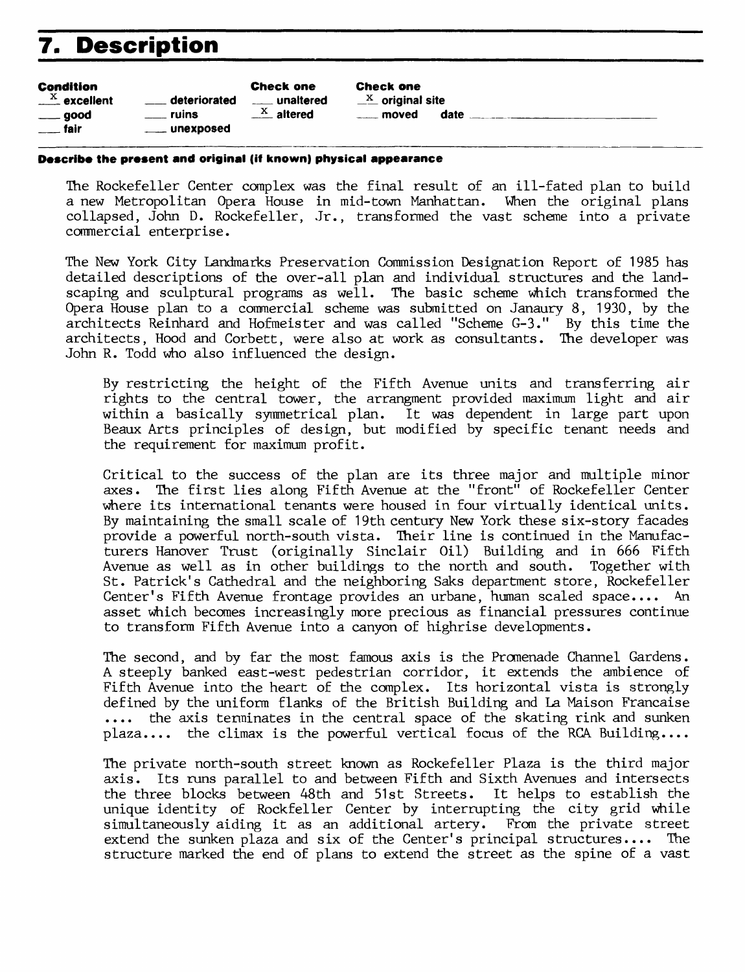# **7. Description**

| <b>Condition</b>          |                | <b>Check one</b>      |
|---------------------------|----------------|-----------------------|
| $\frac{X}{1}$ excellent   | deteriorated   |                       |
| $\rule{1em}{0.15mm}$ good | ruins          | $\frac{X}{1}$ altered |
| $\frac{1}{2}$ fair        | ____ unexposed |                       |
|                           |                |                       |

Check one  $\frac{X}{X}$  original site moved date

#### **Describe the present and original (iff known) physical appearance**

The Rockefeller Center complex was the final result of an ill-fated plan to build a new Metropolitan Opera House in mid-town Manhattan. When the original plans collapsed, John D. Rockefeller, Jr., transformed the vast scheme into a private commercial enterprise.

The New York City Landmarks Preservation Commission Designation Report of 1985 has detailed descriptions of the over-all plan and individual structures and the landscaping and sculptural programs as well. The basic scheme which transformed the Opera House plan to a commercial scheme was submitted on Janaury 8, 1930, by the architects Reinhard and Hofmeister and was called "Scheme G-3." By this time the architects, Hood and Corbett, were also at work as consultants. The developer was John R. Todd who also influenced the design.

By restricting the height of the Fifth Avenue units and transferring air rights to the central tower, the arrangment provided maximum light and air within a basically symmetrical plan. It was dependent in large part upon Beaux Arts principles of design, but modified by specific tenant needs and the requirement for maximum profit.

Critical to the success of the plan are its three major and multiple minor axes. The first lies along Fifth Avenue at the "front" of Rockefeller Center where its international tenants were housed in four virtually identical units. By maintaining the small scale of 19th century New York these six-story facades provide a powerful north-south vista. Their line is continued in the Manufacturers Hanover Trust (originally Sinclair Oil) Building and in 666 Fifth Avenue as well as in other buildings to the north and south. Together with St. Patrick's Cathedral and the neighboring Saks department store, Rockefeller Center's Fifth Avenue frontage provides an urbane, human scaled space.... An asset which becomes increasingly more precious as financial pressures continue to transform Fifth Avenue into a canyon of highrise developments.

The second, and by far the most famous axis is the Promenade Channel Gardens. A steeply banked east-west pedestrian corridor, it extends the ambience of Fifth Avenue into the heart of the complex. Its horizontal vista is strongly defined by the uniform flanks of the British Building and La Maison Francaise .... the axis terminates in the central space of the skating rink and sunken plaza.... the climax is the powerful vertical focus of the RCA Building....

The private north-south street known as Rockefeller Plaza is the third major axis. Its runs parallel to and between Fifth and Sixth Avenues and intersects the three blocks between 48th and 51st Streets. It helps to establish the unique identity of Rockfeller Center by interrupting the city grid while simultaneously aiding it as an additional artery. From the private street extend the sunken plaza and six of the Center's principal structures.... The structure marked the end of plans to extend the street as the spine of a vast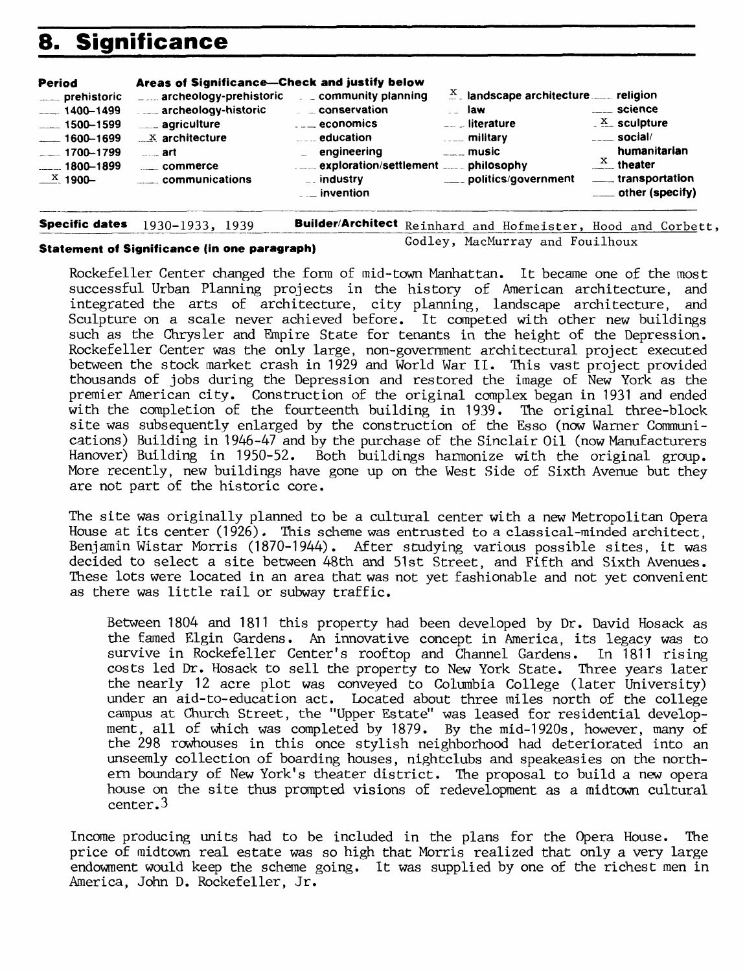# **8. Significance**

| <b>Period</b>                                                                                                                                                       | Areas of Significance-Check and justify below                                                                                                              |                                                                                                                                                                                                                                                                                                                         |                                                                                                                                                                                    |                                                                                                                                                                     |
|---------------------------------------------------------------------------------------------------------------------------------------------------------------------|------------------------------------------------------------------------------------------------------------------------------------------------------------|-------------------------------------------------------------------------------------------------------------------------------------------------------------------------------------------------------------------------------------------------------------------------------------------------------------------------|------------------------------------------------------------------------------------------------------------------------------------------------------------------------------------|---------------------------------------------------------------------------------------------------------------------------------------------------------------------|
| ____ prehistoric<br>$-1400 - 1499$<br>$\frac{1}{2}$ 1500-1599<br>$-1600 - 1699$<br>$-1700 - 1799$<br>$\frac{1}{2}$ 1800 – 1899<br>$\frac{\text{X}}{\text{A}}$ 1900- | $  -$<br>archeology-historic<br><u>___</u> agriculture<br>$\mathbb{R}^{\times}$ architecture<br>$\overline{\phantom{a}}$ art<br>commerce<br>communications | archeology-prehistoric $\Box$ community planning<br>$\overline{a}$ $\overline{a}$ conservation<br>$\overline{\phantom{a}}$ = $\overline{\phantom{a}}$ = economics<br>$\overline{a}$ = $\overline{a}$ education<br>$\overline{a}$ engineering<br>$\overline{\phantom{a}}$ industry<br>$\overline{\phantom{a}}$ invention | $\frac{X}{n}$ landscape architecture  religion<br><sub>--</sub> law<br>$\overline{a}$ iterature<br>$\ldots$ military<br>$\overline{\phantom{a}}$ music<br>____ politics/government | ____ science<br>$\frac{X}{1}$ sculpture<br>$\overline{\phantom{a}}$ social/<br>humanitarian<br>$\frac{X}{1}$ theater<br>_____ transportation<br>___ other (specify) |
|                                                                                                                                                                     |                                                                                                                                                            |                                                                                                                                                                                                                                                                                                                         |                                                                                                                                                                                    |                                                                                                                                                                     |

**Specific dates** 1930-1933, 1939\_

**Builder/Architect** Reinhard and Hofmeister, Hood and Corbett,

#### **Statement of Significance (in one paragraph)**

Godley, MacMurray and Fouilhoux

Rockefeller Center changed the form of mid-town Manhattan. It became one of the most successful Urban Planning projects in the history of American architecture, and integrated the arts of architecture, city planning, landscape architecture, and Sculpture on a scale never achieved before. It competed with other new buildings such as the Chrysler and Empire State for tenants in the height of the Depression. Rockefeller Center was the only large, non-government architectural project executed between the stock market crash in 1929 and World War II. This vast project provided thousands of jobs during the Depression and restored the image of New York as the premier American city. Construction of the original complex began in 1931 and ended with the completion of the fourteenth building in 1939. The original three-block site was subsequently enlarged by the construction of the Esso (now Warner Communications) Building in 1946-47 and by the purchase of the Sinclair Oil (now Manufacturers Hanover) Building in 1950-52. Both buildings harmonize with the original group. More recently, new buildings have gone up on the West Side of Sixth Avenue but they are not part of the historic core.

The site was originally planned to be a cultural center with a new Metropolitan Opera House at its center (1926). This scheme was entrusted to a classical-minded architect, Benjamin Wistar Morris (1870-1944). After studying various possible sites, it was decided to select a site between 48th and 51st Street, and Fifth and Sixth Avenues. These lots were located in an area that was not yet fashionable and not yet convenient as there was little rail or subway traffic.

Between 1804 and 1811 this property had been developed by Dr. David Hosack as the famed Elgin Gardens. An innovative concept in America, its legacy was to survive in Rockefeller Center's rooftop and Channel Gardens. In 1811 rising costs led Dr. Hosack to sell the property to New York State. Three years later the nearly 12 acre plot was conveyed to Columbia College (later University) under an aid-to-education act. Located about three miles north of the college campus at Church Street, the "Upper Estate" was leased for residential development, all of which was completed by 1879. By the mid-1920s, however, many of the 298 rowhouses in this once stylish neighborhood had deteriorated into an unseemly collection of boarding houses, nightclubs and speakeasies on the northern boundary of New York's theater district. The proposal to build a new opera house on the site thus prompted visions of redevelopment as a midtown cultural center.3

Income producing units had to be included in the plans for the Opera House. The price of midtown real estate was so high that Morris realized that only a very large endowment would keep the scheme going. It was supplied by one of the richest men in America, John D. Rockefeller, Jr.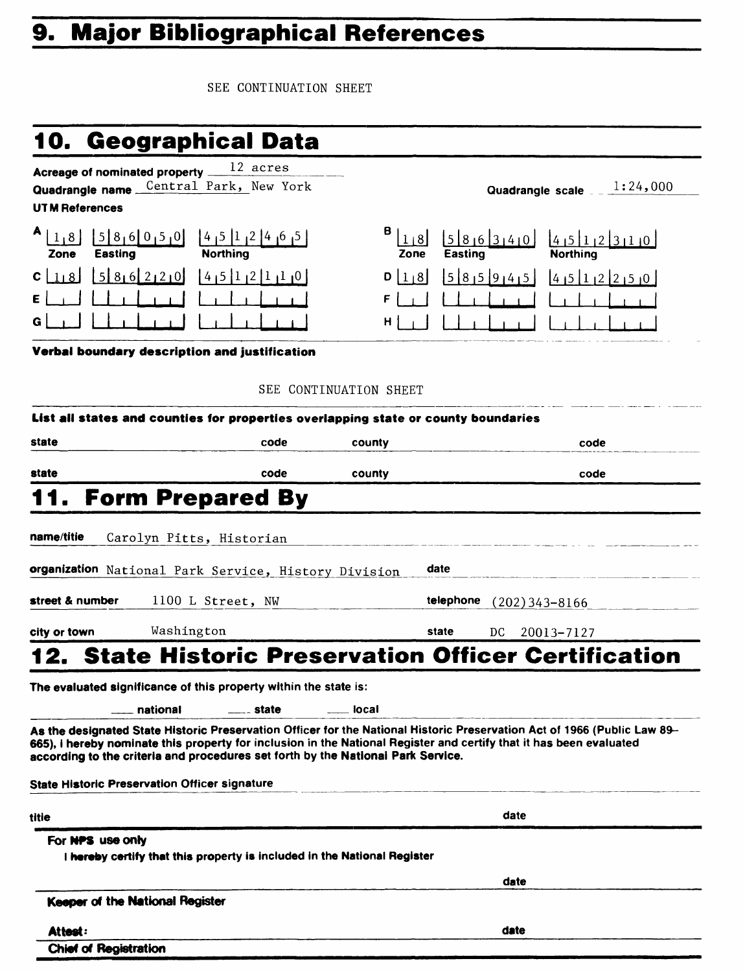# **9. Major Bibliographical References**

SEE CONTINUATION SHEET

| 10.                                                             | <b>Geographical Data</b>                                                                                        |           |
|-----------------------------------------------------------------|-----------------------------------------------------------------------------------------------------------------|-----------|
| Quadrangle name Central Park, New York<br><b>UTM References</b> |                                                                                                                 |           |
| <b>Easting</b><br>Zone                                          | $58161612161816110$<br><b>Northing</b>                                                                          | Е<br>Zone |
| $C$   118                                                       | $\begin{bmatrix} 5 & 8 & 6 & 2 & 2 & 0 \end{bmatrix}$ $\begin{bmatrix} 4 & 5 & 1 & 2 & 1 & 1 & 0 \end{bmatrix}$ | 1/8       |
| E                                                               |                                                                                                                 | F         |

| $A_{1,8}$<br>Zone                                       | 5 8 6 0 5 0 <br><b>Easting</b>                                   | $\begin{bmatrix} 4 & 5 & 1 & 2 & 4 & 6 & 5 \end{bmatrix}$<br><b>Northing</b> | $B _{1 8}$<br>Zone | 586340<br>Easting | 4151123110<br><b>Northing</b> |
|---------------------------------------------------------|------------------------------------------------------------------|------------------------------------------------------------------------------|--------------------|-------------------|-------------------------------|
|                                                         | $c \perp b \perp 5 \rvert 8 \rvert 6 \rvert 2 \rvert 2 \rvert 0$ | $1415$ $112$ $1110$                                                          | $D$   1   8        | 5 8 5 9 4 5       | 4512250                       |
| $E \left[ \begin{array}{cc} 1 \\ 1 \end{array} \right]$ | 1 1 1 1 1 1                                                      |                                                                              |                    |                   |                               |
| G                                                       |                                                                  |                                                                              |                    |                   |                               |

Quadrangle scale  $\frac{1:24,000}{\ }$ 

**Verbal boundary description and justification**

#### SEE CONTINUATION SHEET

|                              | List all states and counties for properties overlapping state or county boundaries           |       |        |           |                                                                                                                                                                                                                                                 |
|------------------------------|----------------------------------------------------------------------------------------------|-------|--------|-----------|-------------------------------------------------------------------------------------------------------------------------------------------------------------------------------------------------------------------------------------------------|
| state                        |                                                                                              | code  | county |           | code                                                                                                                                                                                                                                            |
| state                        |                                                                                              | code  | county |           | code                                                                                                                                                                                                                                            |
| 11.                          | <b>Form Prepared By</b>                                                                      |       |        |           |                                                                                                                                                                                                                                                 |
| name/titie                   | Carolyn Pitts, Historian                                                                     |       |        |           |                                                                                                                                                                                                                                                 |
|                              | organization National Park Service, History Division                                         |       |        | date      |                                                                                                                                                                                                                                                 |
| street & number              | 1100 L Street, NW                                                                            |       |        | telephone | $(202)$ 343-8166                                                                                                                                                                                                                                |
| city or town                 | Washington                                                                                   |       |        | state     | DC.<br>20013-7127                                                                                                                                                                                                                               |
|                              |                                                                                              |       |        |           | <b>State Historic Preservation Officer Certification</b>                                                                                                                                                                                        |
|                              | national<br>according to the criteria and procedures set forth by the National Park Service. | state | local  |           | As the designated State Historic Preservation Officer for the National Historic Preservation Act of 1966 (Public Law 89-<br>665), i hereby nominate this property for inclusion in the National Register and certify that it has been evaluated |
|                              | <b>State Historic Preservation Officer signature</b>                                         |       |        |           |                                                                                                                                                                                                                                                 |
| titie                        |                                                                                              |       |        |           | date                                                                                                                                                                                                                                            |
| For NPS use only             | I hereby certify that this property is included in the National Register                     |       |        |           |                                                                                                                                                                                                                                                 |
|                              |                                                                                              |       |        |           | date                                                                                                                                                                                                                                            |
|                              | Keeper of the National Register                                                              |       |        |           |                                                                                                                                                                                                                                                 |
| Attest:                      |                                                                                              |       |        |           | date                                                                                                                                                                                                                                            |
| <b>Chief of Registration</b> |                                                                                              |       |        |           |                                                                                                                                                                                                                                                 |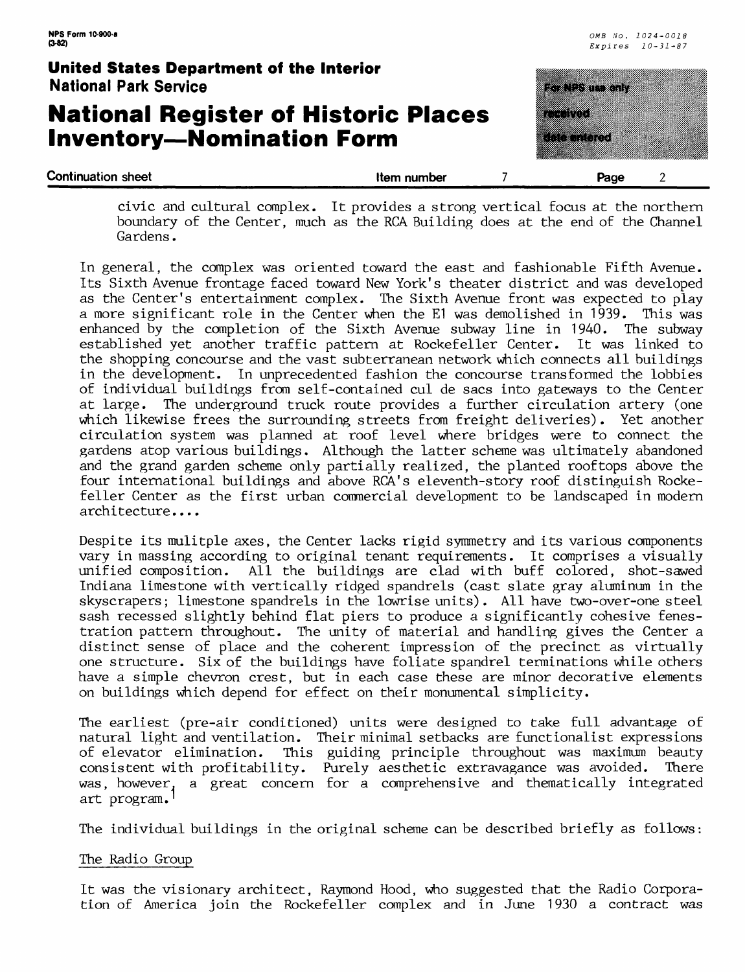## **National Register of Historic Places Inventory—Nomination Form**



civic and cultural complex. It provides a strong vertical focus at the northern boundary of the Center, much as the RCA Building does at the end of the Channel Gardens.

In general, the complex was oriented toward the east and fashionable Fifth Avenue. Its Sixth Avenue frontage faced toward New York's theater district and was developed as the Center's entertainment complex. The Sixth Avenue front was expected to play<br>a more significant role in the Center when the El was demolished in 1939. This was a more significant role in the Center when the E1 was demolished in 1939. enhanced by the completion of the Sixth Avenue subway line in 1940. The subway established yet another traffic pattern at Rockefeller Center. It was linked to the shopping concourse and the vast subterranean network which connects all buildings in the development. In unprecedented fashion the concourse transformed the lobbies of individual buildings from self-contained cul de sacs into gateways to the Center at large. The underground truck route provides a further circulation artery (one which likewise frees the surrounding streets from freight deliveries). Yet another circulation system was planned at roof level where bridges were to connect the gardens atop various buildings. Although the latter scheme was ultimately abandoned and the grand garden scheme only partially realized, the planted rooftops above the four international buildings and above RCA's eleventh-story roof distinguish Rockefeller Center as the first urban commercial development to be landscaped in modern architecture....

Despite its mulitple axes, the Center lacks rigid symmetry and its various components vary in massing according to original tenant requirements. It comprises a visually unified composition. All the buildings are clad with buff colored, shot-sawed Indiana limestone with vertically ridged spandrels (cast slate gray aluminum in the skyscrapers; limestone spandrels in the lowrise units) . All have two-over-one steel sash recessed slightly behind flat piers to produce a significantly cohesive fenestration pattern throughout. The unity of material and handling gives the Center a distinct sense of place and the coherent impression of the precinct as virtually one structure. Six of the buildings have foliate spandrel terminations while others have a simple chevron crest, but in each case these are minor decorative elements on buildings which depend for effect on their monumental simplicity.

The earliest (pre-air conditioned) units were designed to take full advantage of natural light and ventilation. Their minimal setbacks are functionalist expressions of elevator elimination. This guiding principle throughout was maximum beauty consistent with profitability. Purely aesthetic extravagance was avoided. There was, however, a great concern for a comprehensive and thematically integrated art program.'

The individual buildings in the original scheme can be described briefly as follows:

#### The Radio Group

It was the visionary architect, Raymond Hood, who suggested that the Radio Corporation of America join the Rockefeller complex and in June 1930 a contract was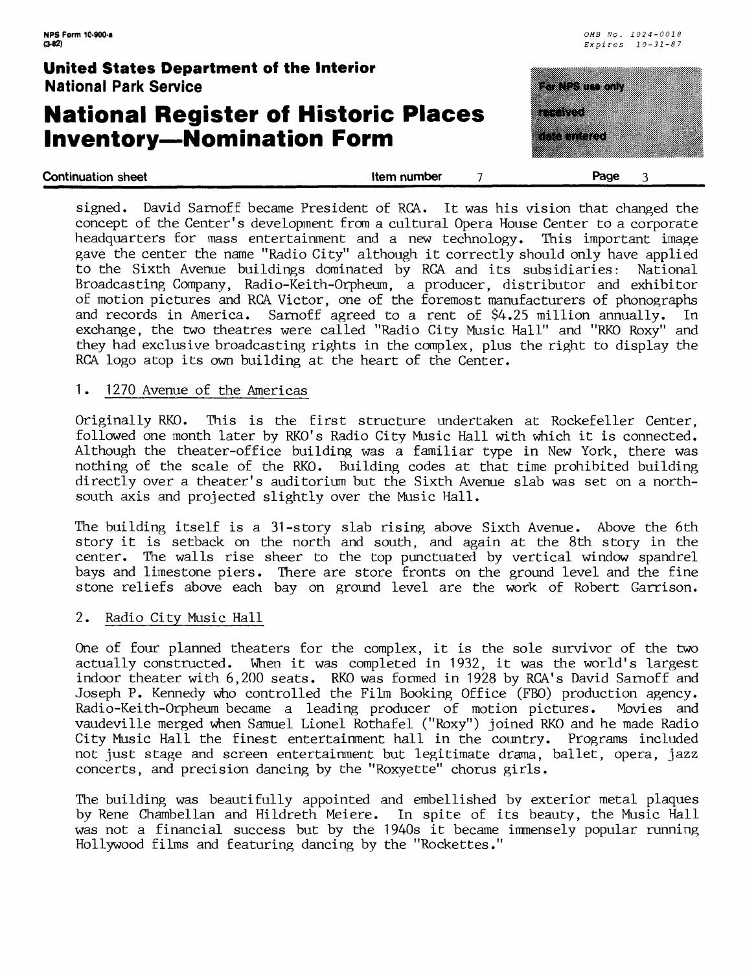## **National Register of Historic Places Inventory—Nomination Form**

| United States Department of the Interior<br><b>National Park Service</b>        |             | a di secolo di controllati di controllati di controllati di controllati di controllati di controllati di contr |  |
|---------------------------------------------------------------------------------|-------------|----------------------------------------------------------------------------------------------------------------|--|
| <b>National Register of Historic Places</b><br><b>Inventory-Nomination Form</b> |             | ------<br><u> Katalog</u><br><u>Maharatta ya Tanzania mwaka mwaka 1999</u>                                     |  |
| <b>Continuation sheet</b>                                                       | Item number | Page                                                                                                           |  |

| signed. David Sarnoff became President of RCA. It was his vision that changed the<br>concept of the Center's development from a cultural Opera House Center to a corporate |
|----------------------------------------------------------------------------------------------------------------------------------------------------------------------------|
|                                                                                                                                                                            |
| headquarters for mass entertainment and a new technology. This important image                                                                                             |
| gave the center the name "Radio City" although it correctly should only have applied                                                                                       |
| to the Sixth Avenue buildings dominated by RCA and its subsidiaries: National                                                                                              |
| Broadcasting Company, Radio-Keith-Orpheum, a producer, distributor and exhibitor                                                                                           |
| of motion pictures and RCA Victor, one of the foremost manufacturers of phonographs                                                                                        |
| and records in America. Sarnoff agreed to a rent of \$4.25 million annually. In                                                                                            |
| exchange, the two theatres were called "Radio City Music Hall" and "RKO Roxy" and                                                                                          |
| they had exclusive broadcasting rights in the complex, plus the right to display the                                                                                       |
| RCA logo atop its own building at the heart of the Center.                                                                                                                 |

#### 1. 1270 Avenue of the Americas

Originally RKO. This is the first structure undertaken at Rockefeller Center, followed one month later by RKO's Radio City Music Hall with which it is connected. Although the theater-office building was a familiar type in New York, there was nothing of the scale of the RKO. Building codes at that time prohibited building directly over a theater's auditorium but the Sixth Avenue slab was set on a northsouth axis and projected slightly over the Music Hall.

The building itself is a 31-story slab rising above Sixth Avenue. Above the 6th story it is setback on the north and south, and again at the 8th story in the center. The walls rise sheer to the top punctuated by vertical window spandrel bays and limestone piers. There are store fronts on the ground level and the fine stone reliefs above each bay on ground level are the work of Robert Garrison.

#### 2. Radio City Music Hall

One of four planned theaters for the complex, it is the sole survivor of the two actually constructed. When it was completed in 1932, it was the world's largest indoor theater with 6,200 seats. RKO was formed in 1928 by RCA's David Sarnoff and Joseph P. Kennedy who controlled the Film Booking Office (FBO) production agency. Radio-Keith-Orpheum became a leading producer of motion pictures. Movies and vaudeville merged when Samuel Lionel Rothafel ("Roxy") joined RKO and he made Radio City Music Hall the finest entertainment hall in the country. Programs included not just stage and screen entertainment but legitimate drama, ballet, opera, jazz concerts, and precision dancing by the "Roxyette" chorus girls.

The building was beautifully appointed and embellished by exterior metal plaques by Rene Chambellan and Hildreth Meiere. In spite of its beauty, the Music Hall was not a financial success but by the 1940s it became immensely popular running Hollywood films and featuring dancing by the "Rockettes."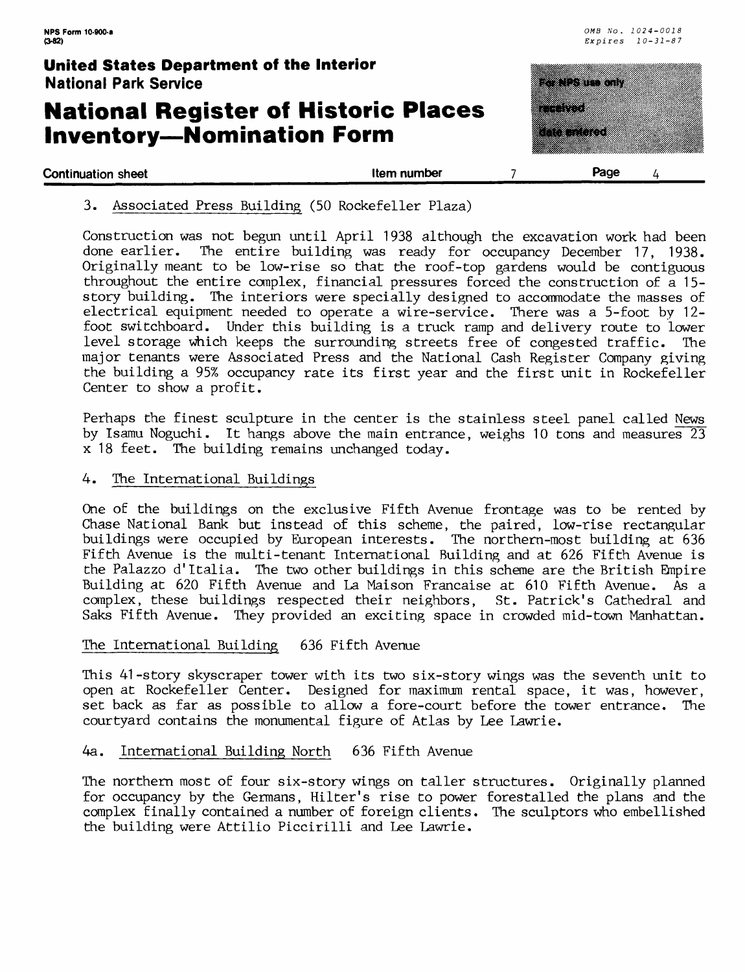<u>matang pang</u>

amaa aan

a kacamatan Indonesia.<br>Kacamatan Indonesia

### **United States Department of the Interior** National Park Service

## **National Register of Historic Places Inventory—Nomination Form**

| <b>Continuation sheet</b> | Item number | Page |
|---------------------------|-------------|------|
|                           |             |      |

3. Associated Press Building (50 Rockefeller Plaza)

Construction was not begun until April 1938 although the excavation work had been done earlier. The entire building was ready for occupancy December 17, 1938. Originally meant to be low-rise so that the roof-top gardens would be contiguous throughout the entire complex, financial pressures forced the construction of a 15 story building. The interiors were specially designed to accommodate the masses of electrical equipment needed to operate a wire-service. There was a 5-foot by 12 foot switchboard. Under this building is a truck ramp and delivery route to lower level storage which keeps the surrounding streets free of congested traffic. The major tenants were Associated Press and the National Cash Register Company giving the building a 95% occupancy rate its first year and the first unit in Rockefeller Center to show a profit.

Perhaps the finest sculpture in the center is the stainless steel panel called News by Isamu Noguchi. It hangs above the main entrance, weighs 10 tons and measures 23 x 18 feet. The building remains unchanged today.

#### 4. The International Buildings

One of the buildings on the exclusive Fifth Avenue frontage was to be rented by Chase National Bank but instead of this scheme, the paired, low-rise rectangular buildings were occupied by European interests. The northern-most building at 636 Fifth Avenue is the multi-tenant International Building and at 626 Fifth Avenue is the Palazzo d'ltalia. The two other buildings in this scheme are the British Empire Building at 620 Fifth Avenue and La Maison Francaise at 610 Fifth Avenue. As a complex, these buildings respected their neighbors, St. Patrick's Cathedral and Saks Fifth Avenue. They provided an exciting space in crowded mid-town Manhattan.

#### The International Building 636 Fifth Avenue

This 41-story skyscraper tower with its two six-story wings was the seventh unit to open at Rockefeller Center. Designed for maximum rental space, it was, however, set back as far as possible to allow a fore-court before the tower entrance. The courtyard contains the monumental figure of Atlas by Lee Lawrie.

#### 4a. International Building North 636 Fifth Avenue

The northern most of four six-story wings on taller structures. Originally planned for occupancy by the Germans, Hilter's rise to power forestalled the plans and the complex finally contained a number of foreign clients. The sculptors who embellished the building were Attilio Piccirilli and Lee Lawrie.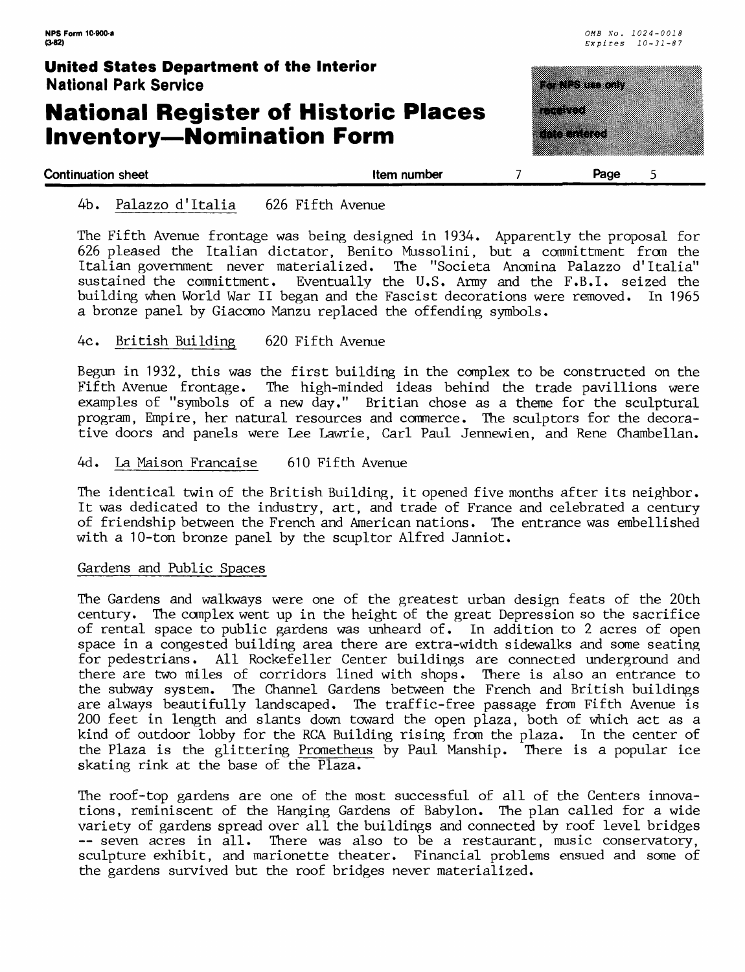## **National Register of Historic Places Inventory—Nomination Form**

| United States Department of the Interior<br><b>National Park Service</b>        |             | <u> Elizabeth Contae de Contae de Contae de Contae de Contae de Contae de Contae de Contae de Contae de Contae d</u> |
|---------------------------------------------------------------------------------|-------------|----------------------------------------------------------------------------------------------------------------------|
| <b>National Register of Historic Places</b><br><b>Inventory-Nomination Form</b> |             | a mata<br><u> Katalunian </u>                                                                                        |
| <b>Continuation sheet</b>                                                       | Item number | Page                                                                                                                 |

#### 4b. Palazzo d'ltalia 626 Fifth Avenue

The Fifth Avenue frontage was being designed in 1934. Apparently the proposal for 626 pleased the Italian dictator, Benito Mussolini, but a committment from the Italian government never materialized. The "Societa Anomina Palazzo d'Italia" The "Societa Anomina Palazzo d'Italia" sustained the committment. Eventually the U.S. Army and the F.B.I, seized the building when World War II began and the Fascist decorations were removed. In 1965 a bronze panel by Giacomo Manzu replaced the offending symbols.

#### 4c. British Building 620 Fifth Avenue

Begun in 1932, this was the first building in the complex to be constructed on the Fifth Avenue frontage. The high-minded ideas behind the trade pavillions were examples of "symbols of a new day." Britian chose as a theme for the sculptural program, Empire, her natural resources and commerce. The sculptors for the decorative doors and panels were Lee Lawrie, Carl Paul Jennewien, and Rene Chambellan.

#### 4d. La Maison Francaise 610 Fifth Avenue

The identical twin of the British Building, it opened five months after its neighbor. It was dedicated to the industry, art, and trade of France and celebrated a century of friendship between the French and American nations. The entrance was embellished with a 10-ton bronze panel by the scupltor Alfred Janniot.

#### Gardens and Public Spaces

The Gardens and walkways were one of the greatest urban design feats of the 20th century. The complex went up in the height of the great Depression so the sacrifice of rental space to public gardens was unheard of. In addition to 2 acres of open space in a congested building area there are extra-width sidewalks and some seating for pedestrians. All Rockefeller Center buildings are connected underground and there are two miles of corridors lined with shops. There is also an entrance to the subway system. The Channel Gardens between the French and British buildings are always beautifully landscaped. The traffic-free passage from Fifth Avenue is 200 feet in length and slants down toward the open plaza, both of which act as a kind of outdoor lobby for the RCA Building rising from the plaza. In the center of the Plaza is the glittering Prometheus by Paul Manship. There is a popular ice skating rink at the base of the Plaza.

The roof-top gardens are one of the most successful of all of the Centers innovations, reminiscent of the Hanging Gardens of Babylon. The plan called for a wide variety of gardens spread over all the buildings and connected by roof level bridges -- seven acres in all. There was also to be a restaurant, music conservatory, sculpture exhibit, and marionette theater. Financial problems ensued and some of the gardens survived but the roof bridges never materialized.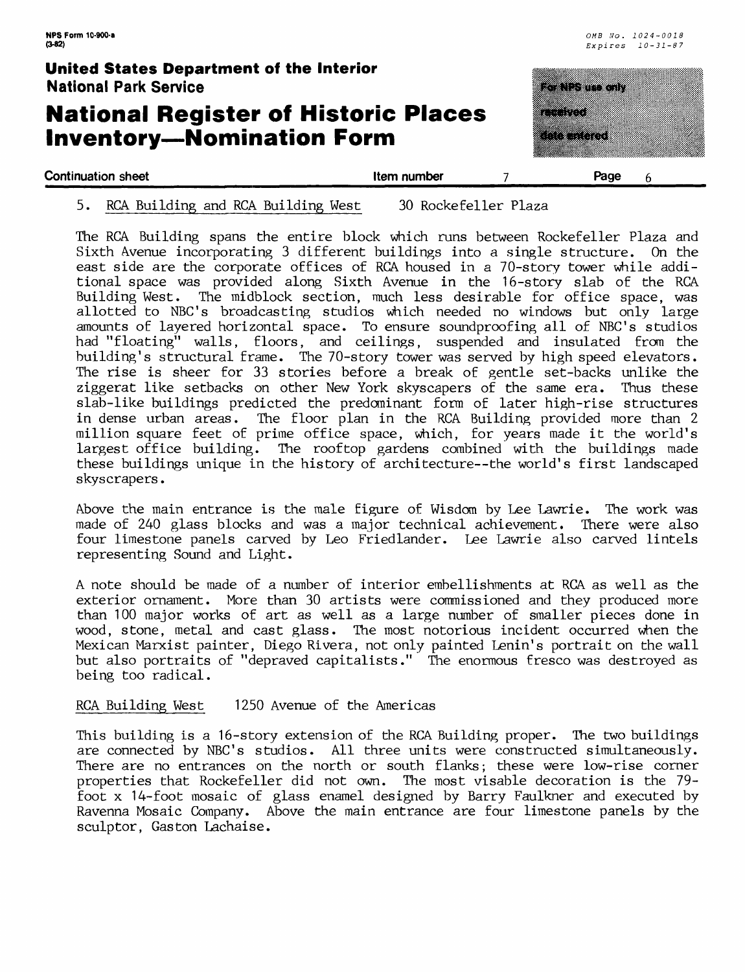## **National Register of Historic Places Inventory—Nomination Form**

| <b>United States Department of the Interior</b><br><b>National Park Service</b>  |             | a da serengan                            |
|----------------------------------------------------------------------------------|-------------|------------------------------------------|
| <b>National Register of Historic Places</b><br><b>Inventory--Nomination Form</b> |             | <u> Manazarta</u><br><b>Anta untered</b> |
| <b>Continuation sheet</b>                                                        | Item number | Page                                     |

### 5. RCA Building and RCA Building West 30 Rockefeller Plaza

The RGA Building spans the entire block which runs between Rockefeller Plaza and Sixth Avenue incorporating 3 different buildings into a single structure. On the east side are the corporate offices of RGA housed in a 70-story tower while additional space was provided along Sixth Avenue in the 16-story slab of the RCA Building West. The midblock section, much less desirable for office space, was allotted to NBC's broadcasting studios which needed no windows but only large amounts of layered horizontal space. To ensure soundproofing all of NBC's studios had "floating" walls, floors, and ceilings, suspended and insulated from the building's structural frame. The 70-story tower was served by high speed elevators. The rise is sheer for 33 stories before a break of gentle set-backs unlike the ziggerat like setbacks on other New York skyscapers of the same era. Thus these slab-like buildings predicted the predominant form of later high-rise structures in dense urban areas. The floor plan in the RCA Building provided more than 2 million square feet of prime office space, which, for years made it the world's largest office building. The rooftop gardens combined with the buildings made these buildings unique in the history of architecture--the world's first landscaped skyscrapers.

Above the main entrance is the male figure of Wisdom by Lee Lawrie. The work was made of 240 glass blocks and was a major technical achievement. There were also four limestone panels carved by Leo Friedlander. Lee Lawrie also carved lintels representing Sound and Light.

A note should be made of a number of interior embellishments at RCA as well as the exterior ornament. More than 30 artists were commissioned and they produced more than 100 major works of art as well as a large number of smaller pieces done in wood, stone, metal and cast glass. The most notorious incident occurred when the Mexican Marxist painter, Diego Rivera, not only painted Lenin's portrait on the wall but also portraits of "depraved capitalists." The enormous fresco was destroyed as being too radical.

RCA Building West 1250 Avenue of the Americas

This building is a 16-story extension of the RCA Building proper. The two buildings are connected by NBC's studios. All three units were constructed simultaneously. There are no entrances on the north or south flanks; these were low-rise corner properties that Rockefeller did not own. The most visable decoration is the 79 foot x 14-foot mosaic of glass enamel designed by Barry Faulkner and executed by Ravenna Mosaic Company. Above the main entrance are four limestone panels by the sculptor, Gaston Lachaise.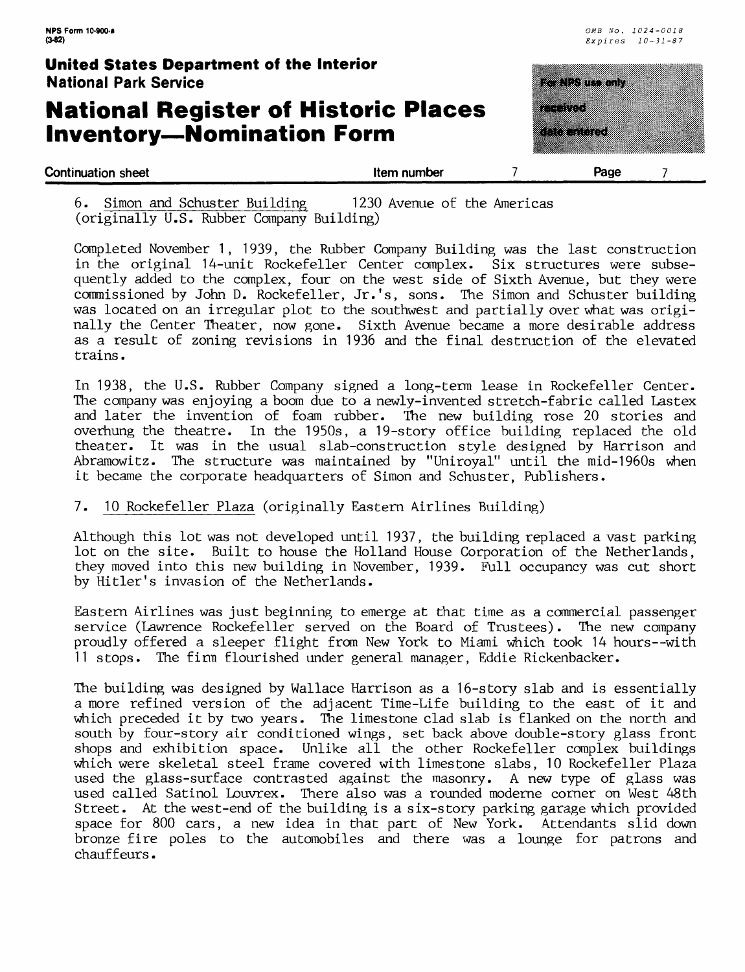## **National Register of Historic Places Inventory—Nomination Form**



6. Simon and Schuster Building 1230 Avenue of the Araericas (originally U.S. Rubber Company Building)

Completed November 1, 1939, the Rubber Company Building was the last construction in the original 14-unit Rockefeller Center complex. Six structures were subsequently added to the complex, four on the west side of Sixth Avenue, but they were commissioned by John D. Rockefeller, Jr.'s, sons. The Simon and Schuster building was located on an irregular plot to the southwest and partially over what was originally the Center Theater, now gone. Sixth Avenue became a more desirable address as a result of zoning revisions in 1936 and the final destruction of the elevated trains.

In 1938, the U.S. Rubber Company signed a long-term lease in Rockefeller Center. The company was enjoying a boom due to a newly-invented stretch-fabric called Lastex and later the invention of foam rubber. The new building rose 20 stories and overhung the theatre. In the 1950s, a 19-story office building replaced the old theater. It was in the usual slab-construction style designed by Harrison and Abramowitz. The structure was maintained by "Uniroyal" until the mid-1960s when it became the corporate headquarters of Simon and Schuster, Publishers.

### 7. 10 Rockefeller Plaza (originally Eastern Airlines Building)

Although this lot was not developed until 1937, the building replaced a vast parking lot on the site. Built to house the Holland House Corporation of the Netherlands, they moved into this new building in November, 1939. Full occupancy was cut short by Hitler's invasion of the Netherlands.

Eastern Airlines was just beginning to emerge at that time as a commercial passenger service (Lawrence Rockefeller served on the Board of Trustees). The new company proudly offered a sleeper flight from New York to Miami which took 14 hours--with 11 stops. The firm flourished under general manager, Eddie Rickenbacker.

The building was designed by Wallace Harrison as a 16-story slab and is essentially a more refined version of the adjacent Time-Life building to the east of it and which preceded it by two years. The limestone clad slab is flanked on the north and south by four-story air conditioned wings, set back above double-story glass front shops and exhibition space. Unlike all the other Rockefeller complex buildings which were skeletal steel frame covered with limestone slabs, 10 Rockefeller Plaza used the glass-surface contrasted against the masonry. A new type of glass was used called Satinol Louvrex. There also was a rounded moderne corner on West 48th Street. At the west-end of the building is a six-story parking garage which provided space for 800 cars, a new idea in that part of New York. Attendants slid down bronze fire poles to the automobiles and there was a lounge for patrons and chauffeurs.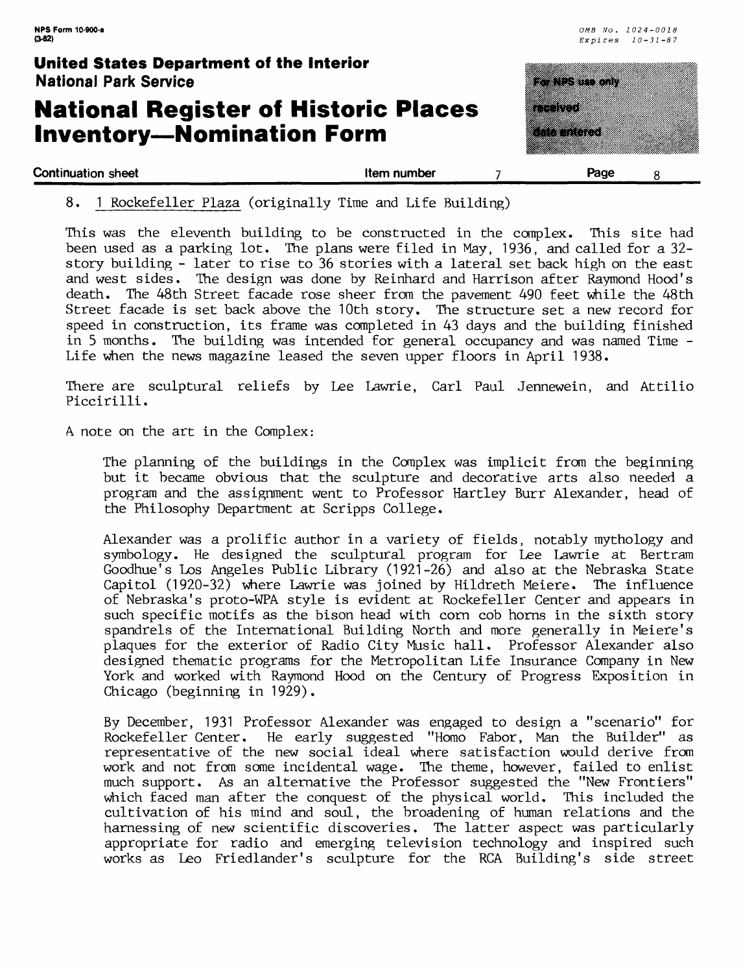## **National Register of Historic Places Inventory—Nomination Form**



8. 1 Rockefeller Plaza (originally Time and Life Building)

This was the eleventh building to be constructed in the complex. This site had been used as a parking lot. The plans were filed in May, 1936, and called for a 32 story building - later to rise to 36 stories with a lateral set back high on the east and west sides. The design was done by Reinhard and Harrison after Raymond Hood's death. The 48th Street facade rose sheer from the pavement 490 feet while the 48th Street facade is set back above the 10th story. The structure set a new record for speed in construction, its frame was completed in 43 days and the building finished in 5 months. The building was intended for general occupancy and was named Time - Life when the news magazine leased the seven upper floors in April 1938.

There are sculptural reliefs by Lee Lawrie, Carl Paul Jennewein, and Attilio Piccirilli.

A. note on the art in the Complex:

The planning of the buildings in the Complex was implicit from the beginning but it became obvious that the sculpture and decorative arts also needed a program and the assignment went to Professor Hartley Burr Alexander, head of the Philosophy Department at Scripps College.

Alexander was a prolific author in a variety of fields, notably mythology and symbology. He designed the sculptural program for Lee Lawrie at Bertram Goodhue's Los Angeles Public Library (1921-26) and also at the Nebraska State Capitol (1920-32) where Lawrie was joined by Hildreth Meiere. The influence of Nebraska's proto-WPA style is evident at Rockefeller Center and appears in such specific motifs as the bison head with corn cob horns in the sixth story spandrels of the International Building North and more generally in Meiere's plaques for the exterior of Radio City Music hall. Professor Alexander also designed thematic programs for the Metropolitan Life Insurance Company in New York and worked with Raymond Hood on the Century of Progress Exposition in Chicago (beginning in 1929).

By December, 1931 Professor Alexander was engaged to design a "scenario" for Rockefeller Center. He early suggested "Homo Fabor, Man the Builder" as representative of the new social ideal where satisfaction would derive from work and not from some incidental wage. The theme, however, failed to enlist much support. As an alternative the Professor suggested the "New Frontiers" which faced man after the conquest of the physical world. This included the cultivation of his mind and soul, the broadening of human relations and the harnessing of new scientific discoveries. The latter aspect was particularly appropriate for radio and emerging television technology and inspired such works as Leo Friedlander's sculpture for the RCA Building's side street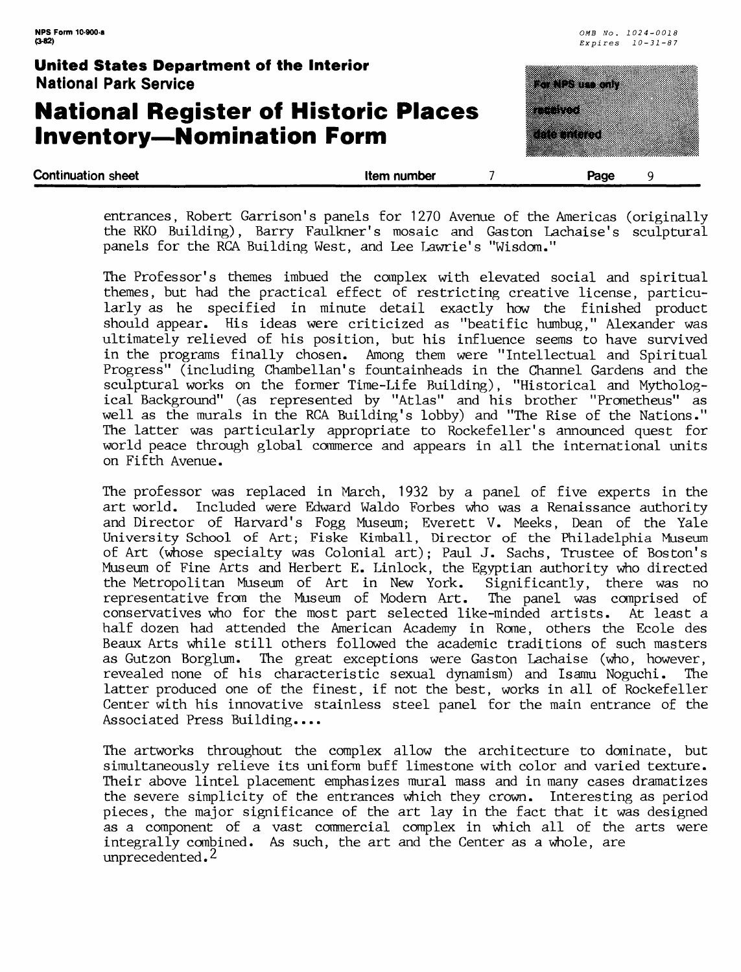## **National Register of Historic Places Inventory—Nomination Form**



entrances, Robert Garrison's panels for 1270 Avenue of the Americas (originally the RKO Building), Barry Faulkner's mosaic and Gaston Lachaise's sculptural panels for the RGA Building West, and Lee Lawrie's "Wisdom."

The Professor's themes imbued the complex with elevated social and spiritual themes, but had the practical effect of restricting creative license, particularly as he specified in minute detail exactly how the finished product should appear. His ideas were criticized as "beatific humbug," Alexander was ultimately relieved of his position, but his influence seems to have survived in the programs finally chosen. Among them were "Intellectual and Spiritual Progress" (including Chambellan's fountainheads in the Channel Gardens and the sculptural works on the former Time-Life Building), "Historical and Mythological Background" (as represented by "Atlas" and his brother "Prometheus" as well as the murals in the RCA Building's lobby) and "The Rise of the Nations." The latter was particularly appropriate to Rockefeller's announced quest for world peace through global commerce and appears in all the international units on Fifth Avenue.

The professor was replaced in March, 1932 by a panel of five experts in the art world. Included were Edward Waldo Forbes who was a Renaissance authority and Director of Harvard's Fogg Museum; Everett V. Meeks, Dean of the Yale University School of Art; Fiske Kimball, Director of the Philadelphia Museum of Art (whose specialty was Colonial art); Paul J. Sachs, Trustee of Boston's Museum of Fine Arts and Herbert E. Linlock, the Egyptian authority who directed the Metropolitan Museum of Art in New York. Significantly, there was no representative from the Museum of Modern Art. The panel was comprised of conservatives who for the most part selected like-minded artists. At least a half dozen had attended the American Academy in Rome, others the Ecole des Beaux Arts while still others followed the academic traditions of such masters as Gutzon Borglum. The great exceptions were Gaston Lachaise (who, however, revealed none of his characteristic sexual dynamism) and Isamu Noguchi. The latter produced one of the finest, if not the best, works in all of Rockefeller Center with his innovative stainless steel panel for the main entrance of the Associated Press Building....

The artworks throughout the complex allow the architecture to dominate, but simultaneously relieve its uniform buff limestone with color and varied texture. Their above lintel placement emphasizes mural mass and in many cases dramatizes the severe simplicity of the entrances which they crown. Interesting as period pieces, the major significance of the art lay in the fact that it was designed as a component of a vast commercial complex in which all of the arts were integrally combined. As such, the art and the Center as a whole, are unprecedented.<sup>2</sup>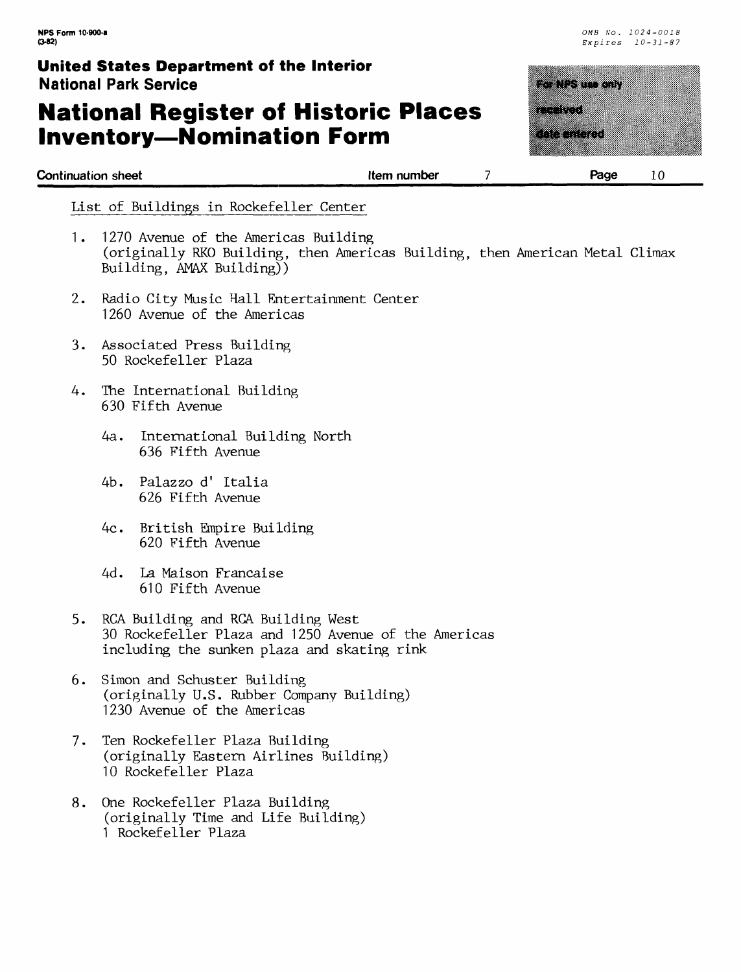## **National Register of Historic Places Inventory—Nomination Form**

| <b>United States Department of the Interior</b><br><b>National Park Service</b> |             | <u>ka sa tanan 1</u>                                                                                                         |
|---------------------------------------------------------------------------------|-------------|------------------------------------------------------------------------------------------------------------------------------|
| <b>National Register of Historic Places</b><br><b>Inventory-Nomination Form</b> |             | -----<br><u> Albanya di Santa Bandar Bandar Bandar Bandar Bandar Bandar Bandar Bandar Bandar Bandar Bandar Bandar Bandar</u> |
| <b>Continuation sheet</b>                                                       | Item number | Page                                                                                                                         |

#### List of Buildings in Rockefeller Center

- 1. 1270 Avenue of the Americas Building (originally RKO Building, then Americas Building, then American Metal Climax Building, AMAX Building))
- 2. Radio City Music Hall Entertainment Center 1260 Avenue of the Americas
- 3. Associated Press Building 50 Rockefeller Plaza
- 4. The International Building 630 Fifth Avenue
	- 4a. International Building North 636 Fifth Avenue
	- 4b. Palazzo d' Italia 626 Fifth Avenue
	- 4c. British Empire Building 620 Fifth Avenue
	- 4d. La Maison Francaise 610 Fifth Avenue
- 5. RCA Building and RCA Building West 30 Rockefeller Plaza and 1250 Avenue of the Americas including the sunken plaza and skating rink
- 6. Simon and Schuster Building (originally U.S. Rubber Company Building) 1230 Avenue of the Americas
- 7. Ten Rockefeller Plaza Building (originally Eastern Airlines Building) 10 Rockefeller Plaza
- 8. One Rockefeller Plaza Building (originally Time and Life Building) 1 Rockefeller Plaza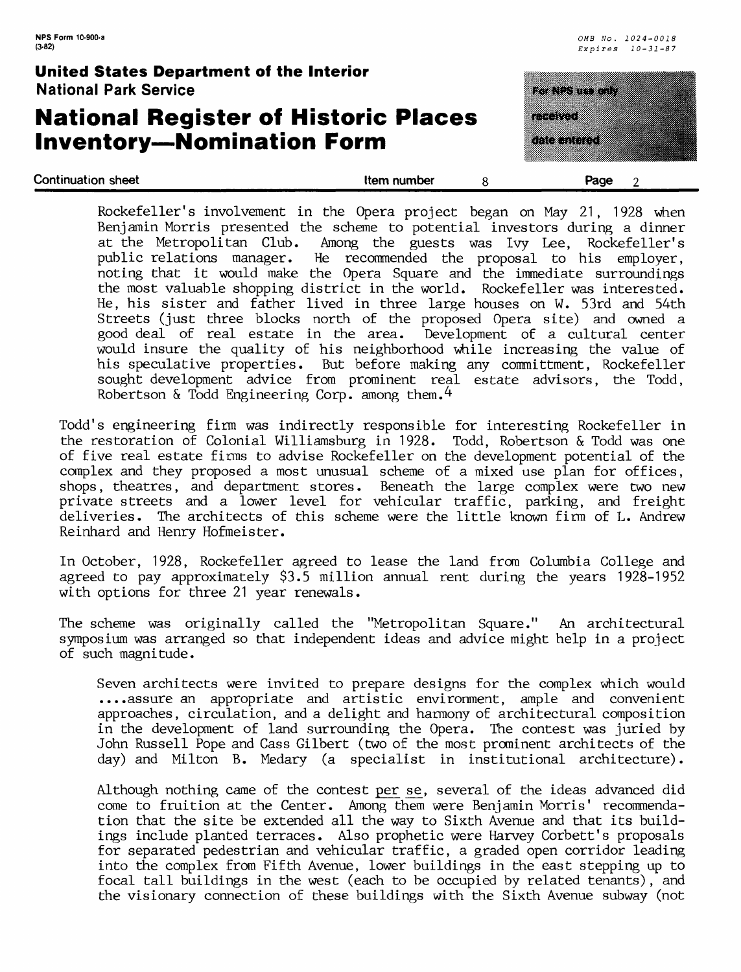## **National Register of Historic Places Inventory—Nomination Form**

<u>Tanta ka</u> 833 a di Santonio Continuation sheet **the continuation sheet** the continuation sheet 2

| Rockefeller's involvement in the Opera project began on May 21, 1928 when     |
|-------------------------------------------------------------------------------|
| Benjamin Morris presented the scheme to potential investors during a dinner   |
| at the Metropolitan Club. Among the guests was Ivy Lee, Rockefeller's         |
| public relations manager. He recommended the proposal to his employer,        |
| noting that it would make the Opera Square and the immediate surroundings     |
| the most valuable shopping district in the world. Rockefeller was interested. |
| He, his sister and father lived in three large houses on W. 53rd and 54th     |
| Streets (just three blocks north of the proposed Opera site) and owned a      |
| good deal of real estate in the area. Development of a cultural center        |
| would insure the quality of his neighborhood while increasing the value of    |
| his speculative properties. But before making any committment, Rockefeller    |
| sought development advice from prominent real estate advisors, the Todd,      |
| Robertson & Todd Engineering Corp. among them. $4$                            |

Todd's engineering firm was indirectly responsible for interesting Rockefeller in the restoration of Colonial Williamsburg in 1928. Todd, Robertson & Todd was one of five real estate firms to advise Rockefeller on the development potential of the complex and they proposed a most unusual scheme of a mixed use plan for offices, shops, theatres, and department stores. Beneath the large complex were two new private streets and a lower level for vehicular traffic, parking, and freight deliveries. The architects of this scheme were the little known firm of L. Andrew Reinhard and Henry Hofmeister.

In October, 1928, Rockefeller agreed to lease the land from Columbia College and agreed to pay approximately \$3.5 million annual rent during the years 1928-1952 with options for three 21 year renewals.

The scheme was originally called the "Metropolitan Square." An architectural symposium was arranged so that independent ideas and advice might help in a project of such magnitude.

Seven architects were invited to prepare designs for the complex which would ....assure an appropriate and artistic environment, ample and convenient approaches, circulation, and a delight and harmony of architectural composition in the development of land surrounding the Opera. The contest was juried by John Russell Pope and Cass Gilbert (two of the most prominent architects of the day) and Milton B. Medary (a specialist in institutional architecture).

Although nothing came of the contest per se, several of the ideas advanced did come to fruition at the Center. Among them were Benjamin Morris' recommendation that the site be extended all the way to Sixth Avenue and that its buildings include planted terraces. Also prophetic were Harvey Corbett's proposals for separated pedestrian and vehicular traffic, a graded open corridor leading into the complex from Fifth Avenue, lower buildings in the east stepping up to focal tall buildings in the west (each to be occupied by related tenants), and the visionary connection of these buildings with the Sixth Avenue subway (not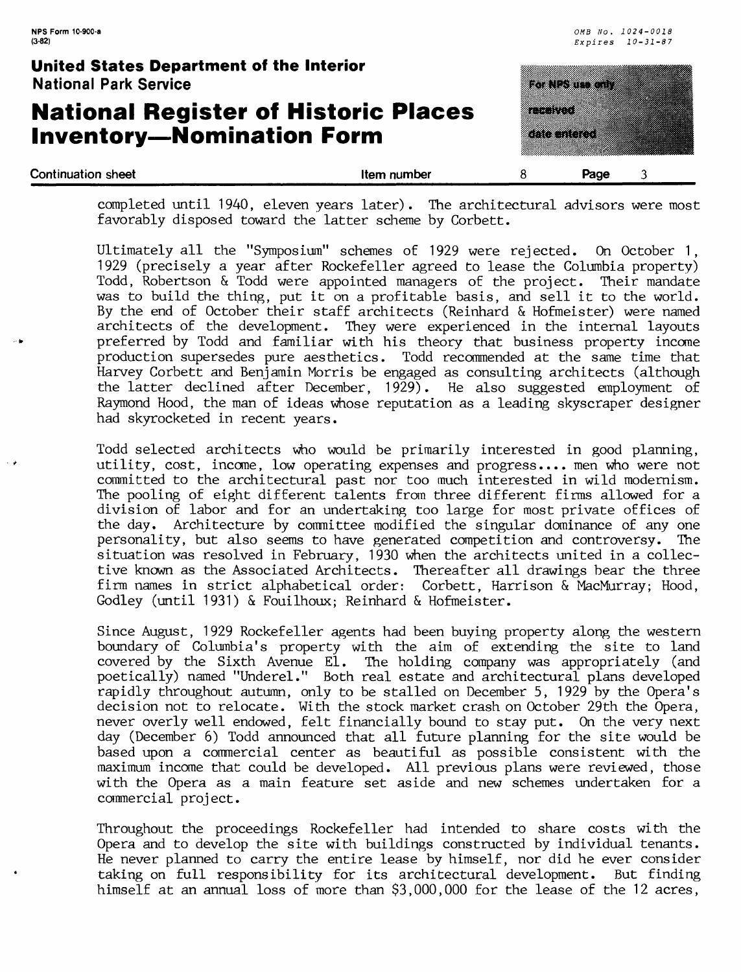| <b>Continuation sheet</b>                                                       | Item number | 8        | Page                                                |  |
|---------------------------------------------------------------------------------|-------------|----------|-----------------------------------------------------|--|
| <b>National Register of Historic Places</b><br><b>Inventory-Nomination Form</b> |             | etti toi | <u>kommune</u>                                      |  |
| <b>United States Department of the Interior</b><br><b>National Park Service</b> |             |          | e de la porte de la                                 |  |
| NPS Form 10-900-a<br>$(3-82)$                                                   |             |          | OMB No. 1024-0018<br>$Ex\,p\,i\,r\,e\,s$ $10-31-87$ |  |

completed until 1940, eleven years later). The architectural advisors were most favorably disposed toward the latter scheme by Corbett.

Ultimately all the "Symposium" schemes of 1929 were rejected. On October 1, 1929 (precisely a year after Rockefeller agreed to lease the Columbia property) Todd, Robertson & Todd were appointed managers of the project. Their mandate was to build the thing, put it on a profitable basis, and sell it to the world. By the end of October their staff architects (Reinhard & Hofmeister) were named architects of the development. They were experienced in the internal layouts preferred by Todd and familiar with his theory that business property income production supersedes pure aesthetics. Todd recommended at the same time that Harvey Corbett and Benjamin Morris be engaged as consulting architects (although the latter declined after December, 1929). He also suggested employment of Raymond Hood, the man of ideas whose reputation as a leading skyscraper designer had skyrocketed in recent years.

Todd selected architects who would be primarily interested in good planning, utility, cost, income, low operating expenses and progress.... men who were not committed to the architectural past nor too much interested in wild modernism. The pooling of eight different talents from three different firms allowed for a division of labor and for an undertaking too large for most private offices of the day. Architecture by committee modified the singular dominance of any one personality, but also seems to have generated competition and controversy. The situation was resolved in February, 1930 when the architects united in a collective known as the Associated Architects. Thereafter all drawings bear the three firm names in strict alphabetical order: Corbett, Harrison & MacMurray; Hood, Godley (until 1931) & Fouilhoux; Reinhard & Hofmeister.

Since August, 1929 Rockefeller agents had been buying property along the western boundary of Columbia's property with the aim of extending the site to land covered by the Sixth Avenue El. The holding company was appropriately (and poetically) named "Underel." Both real estate and architectural plans developed rapidly throughout autumn, only to be stalled on December 5, 1929 by the Opera's decision not to relocate. With the stock market crash on October 29th the Opera, never overly well endowed, felt financially bound to stay put. On the very next day (December 6) Todd announced that all future planning for the site would be based upon a commercial center as beautiful as possible consistent with the maximum income that could be developed. All previous plans were reviewed, those with the Opera as a main feature set aside and new schemes undertaken for a commercial project.

Throughout the proceedings Rockefeller had intended to share costs with the Opera and to develop the site with buildings constructed by individual tenants. He never planned to carry the entire lease by himself, nor did he ever consider taking on full responsibility for its architectural development. But finding himself at an annual loss of more than \$3,000,000 for the lease of the 12 acres,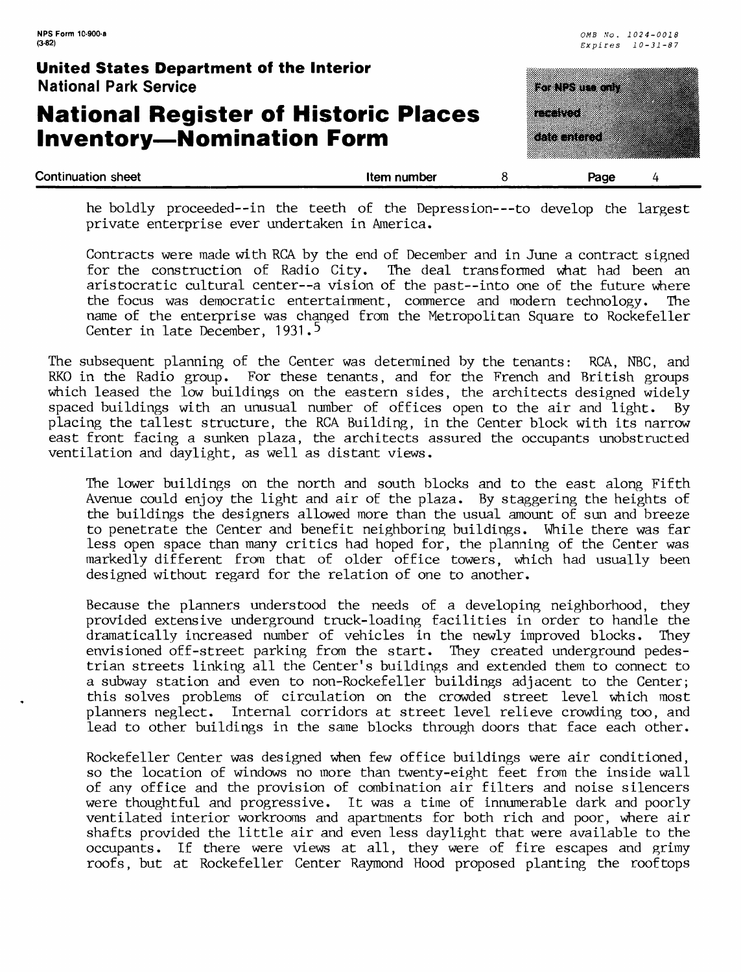## **National Register of Historic Places Inventory—Nomination Form**



he boldly proceeded--in the teeth of the Depression---to develop the largest private enterprise ever undertaken in America.

Contracts were made with RCA by the end of December and in June a contract signed for the construction of Radio City. The deal transformed what had been an aristocratic cultural center--a vision of the past--into one of the future where the focus was democratic entertainment, commerce and modern technology. The name of the enterprise was changed from the Metropolitan Square to Rockefeller Center in late December, 1931.<sup>5</sup>

The subsequent planning of the Center was determined by the tenants: RCA, NBC, and RKO in the Radio group. For these tenants, and for the French and British groups which leased the low buildings on the eastern sides, the architects designed widely spaced buildings with an unusual number of offices open to the air and light. By placing the tallest structure, the RCA Building, in the Center block with its narrow east front facing a sunken plaza, the architects assured the occupants unobstructed ventilation and daylight, as well as distant views.

The lower buildings on the north and south blocks and to the east along Fifth Avenue could enjoy the light and air of the plaza. By staggering the heights of the buildings the designers allowed more than the usual amount of sun and breeze to penetrate the Center and benefit neighboring buildings. While there was far less open space than many critics had hoped for, the planning of the Center was markedly different from that of older office towers, which had usually been designed without regard for the relation of one to another.

Because the planners understood the needs of a developing neighborhood, they provided extensive underground truck-loading facilities in order to handle the dramatically increased number of vehicles in the newly improved blocks. They envisioned off-street parking from the start. They created underground pedestrian streets linking all the Center's buildings and extended them to connect to a subway station and even to non-Rockefeller buildings adjacent to the Center; this solves problems of circulation on the crowded street level which most planners neglect. Internal corridors at street level relieve crowding too, and lead to other buildings in the sane blocks through doors that face each other.

Rockefeller Center was designed when few office buildings were air conditioned, so the location of windows no more than twenty-eight feet from the inside wall of any office and the provision of combination air filters and noise silencers were thoughtful and progressive. It was a time of innumerable dark and poorly ventilated interior workrooms and apartments for both rich and poor, where air shafts provided the little air and even less daylight that were available to the occupants. If there were views at all, they were of fire escapes and grimy roofs, but at Rockefeller Center Raymond Hood proposed planting the rooftops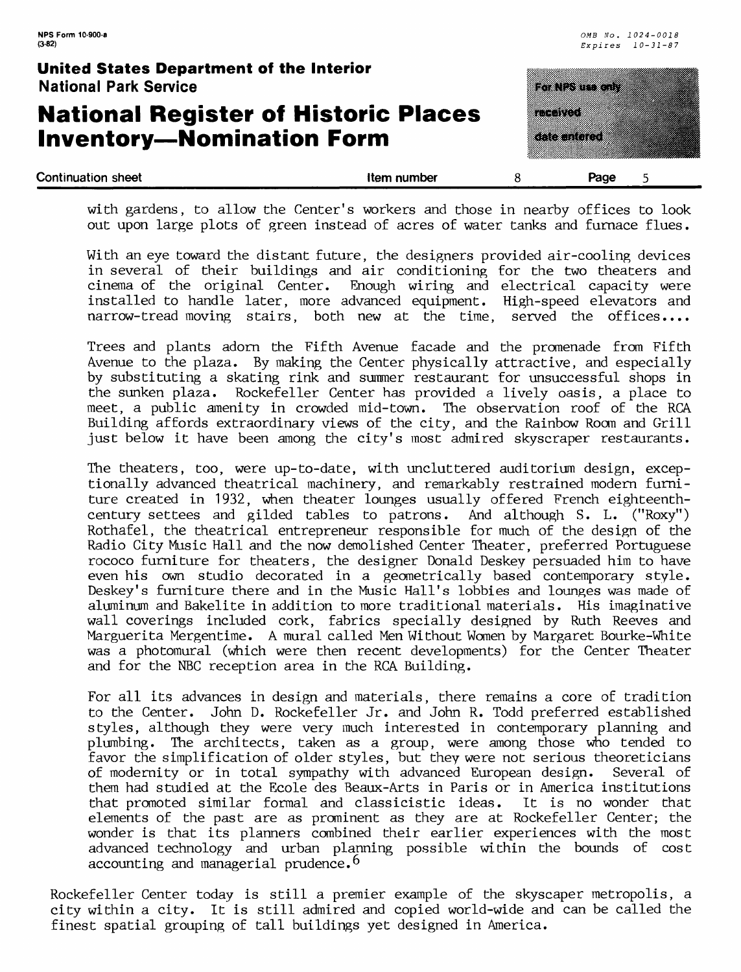## **National Register of Historic Places Inventory—Nomination Form**

| Continuation sheet                                                              | Item number |                               | Page |  |
|---------------------------------------------------------------------------------|-------------|-------------------------------|------|--|
| <b>National Register of Historic Places</b><br><b>Inventory-Nomination Form</b> |             | <b>The State</b><br>a sa nasa |      |  |
| United States Department of the Interior<br><b>National Park Service</b>        |             | a di Santonio                 |      |  |

with gardens, to allow the Center's workers and those in nearby offices to look out upon large plots of green instead of acres of water tanks and furnace flues.

With an eye toward the distant future, the designers provided air-cooling devices in several of their buildings and air conditioning for the two theaters and<br>cinema of the original Center. Enough wiring and electrical capacity were Enough wiring and electrical capacity were installed to handle later, more advanced equipment. High-speed elevators and narrow-tread moving stairs, both new at the time, served the offices....

Trees and plants adorn the Fifth Avenue facade and the promenade from Fifth Avenue to the plaza. By making the Center physically attractive, and especially by substituting a skating rink and summer restaurant for unsuccessful shops in the sunken plaza. Rockefeller Center has provided a lively oasis, a place to meet, a public amenity in crowded mid-town. The observation roof of the RCA Building affords extraordinary views of the city, and the Rainbow Roan and Grill just below it have been among the city's most admired skyscraper restaurants.

The theaters, too, were up-to-date, with uncluttered auditorium design, exceptionally advanced theatrical machinery, and remarkably restrained modern furniture created in 1932, when theater lounges usually offered French eighteenthcentury settees and gilded tables to patrons. And although S. L. ("Roxy") Rothafel, the theatrical entrepreneur responsible for much of the design of the Radio City Music Hall and the now demolished Center Theater, preferred Portuguese rococo furniture for theaters, the designer Donald Deskey persuaded him to have even his own studio decorated in a geometrically based contemporary style. Deskey's furniture there and in the Music Hall's lobbies and lounges was made of aluminum and Bakelite in addition to more traditional materials. His imaginative wall coverings included cork, fabrics specially designed by Ruth Reeves and Marguerita Mergentime. A mural called Men Without Women by Margaret Bourke-White was a photomural (which were then recent developments) for the Center Theater and for the NBC reception area in the RCA Building.

For all its advances in design and materials, there remains a core of tradition to the Center. John D. Rockefeller Jr. and John R. Todd preferred established styles, although they were very much interested in contemporary planning and plumbing. The architects, taken as a group, were among those who tended to favor the simplification of older styles, but they were not serious theoreticians of modernity or in total sympathy with advanced European design. Several of them had studied at the Ecole des Beaux-Arts in Paris or in America institutions that promoted similar formal and classicistic ideas. It is no wonder that elements of the past are as prominent as they are at Rockefeller Center; the wonder is that its planners combined their earlier experiences with the most advanced technology and urban planning possible within the bounds of cost accounting and managerial prudence.<sup>6</sup>

Rockefeller Center today is still a premier example of the skyscaper metropolis, a city within a city. It is still admired and copied world-wide and can be called the finest spatial grouping of tall buildings yet designed in America.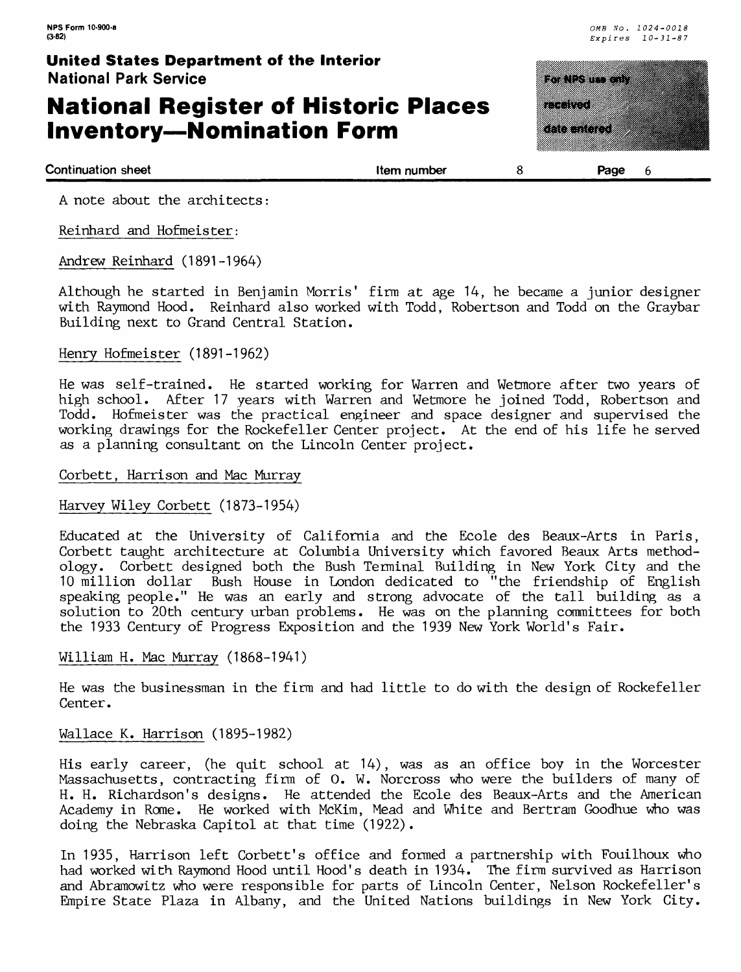## **National Register of Historic Places Inventory—Nomination Form**





**Continuation sheet** the state of the state of the state of the number that is stated as the state of the state of the state of the state of the state of the state of the state of the state of the state of the state of the

A note about the architects:

Reinhard and Hofmelster:

Andrew Reinhard (1891-1964)

Although he started in Benjamin Morris' firm at age 14, he became a junior designer with Raymond Hood. Reinhard also worked with Todd, Robertson and Todd on the Graybar Building next to Grand Central Station.

#### Henry Hofmeister (1891-1962)

He was self-trained. He started working for Warren and Wetmore after two years of high school. After 17 years with Warren and Wetmore he joined Todd, Robertson and Todd. Hofmeister was the practical engineer and space designer and supervised the working drawings for the Rockefeller Center project. At the end of his life he served as a planning consultant on the Lincoln Center project.

#### Corbett, Harrison and Mac Murray

#### Harvey Wiley Corbett (1873-1954)

Educated at the University of California and the Ecole des Beaux-Arts in Paris, Corbett taught architecture at Columbia University which favored Beaux Arts methodology. Corbett designed both the Bush Terminal Building in New York City and the 10 million dollar Bush House in London dedicated to "the friendship of English speaking people." He was an early and strong advocate of the tall building as a solution to 20th century urban problems. He was on the planning committees for both the 1933 Century of Progress Exposition and the 1939 New York World's Fair.

#### William H. Mac Murray (1868-1941)

He was the businessman in the firm and had little to do with the design of Rockefeller Center.

#### Wallace K. Harrison (1895-1982)

His early career, (he quit school at 14), was as an office boy in the Worcester Massachusetts, contracting firm of 0. W. Norcross who were the builders of many of H. H. Richardson's designs. He attended the Ecole des Beaux-Arts and the American Academy in Rone. He worked with McKim, Mead and White and Bertram Goodhue who was doing the Nebraska Capitol at that time (1922).

In 1935, Harrison left Corbett's office and formed a partnership with Fouilhoux who had worked with Raymond Hood until Hood's death in 1934. The firm survived as Harrison and Abramowitz who were responsible for parts of Lincoln Center, Nelson Rockefeller's Empire State Plaza in Albany, and the United Nations buildings in New York City.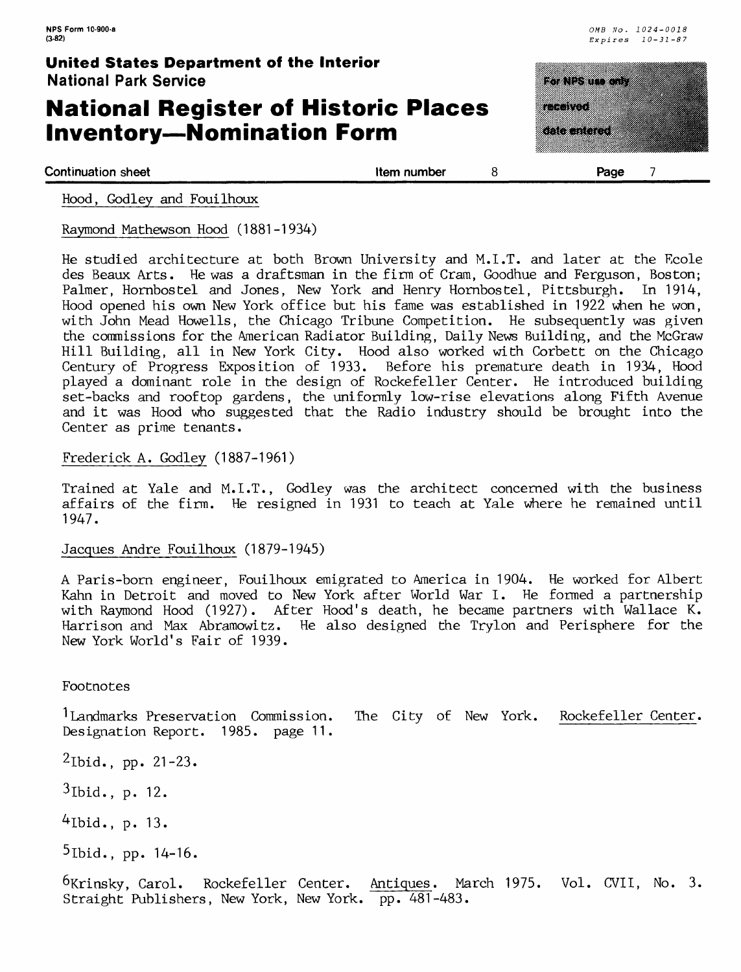## **National Register of Historic Places Inventory—Nomination Form**

|           | <b>BARNES</b> |  |
|-----------|---------------|--|
|           |               |  |
| a ang pag |               |  |
|           |               |  |
|           | a shekara 1   |  |
|           |               |  |
|           |               |  |
|           |               |  |

**Continuation sheet Continuation sheet** 

Hood, Godley and Fouilhoux

Raymond Mathewson Hood (1881-1934)

He studied architecture at both Brown University and M.I.T. and later at the Ecole des Beaux Arts. He was a draftsman in the firm of Cram, Goodhue and Ferguson, Boston; Palmer, Hornbostel and Jones, New York and Henry Hornbostel, Pittsburgh. In 1914, Hood opened his own New York office but his fame was established in 1922 when he won, with John Mead Howells, the Chicago Tribune Competition. He subsequently was given the commissions for the American Radiator Building, Daily News Building, and the McGraw Hill Building, all in New York City. Hood also worked with Corbett on the Chicago<br>Century of Progress Exposition of 1933. Before his premature death in 1934, Hood Before his premature death in 1934, Hood played a dominant role in the design of Rockefeller Center. He introduced building set-backs and rooftop gardens, the uniformly low-rise elevations along Fifth Avenue and it was Hood who suggested that the Radio industry should be brought into the Center as prime tenants.

#### Frederick A. Godley (1887-1961)

Trained at Yale and M.I.T., Godley was the architect concerned with the business affairs of the firm. He resigned in 1931 to teach at Yale where he remained until 1947.

Jacques Andre Fouilhoux (1879-1945)

A Paris-born engineer, Fouilhoux emigrated to America in 1904. He worked for Albert Kahn in Detroit and moved to New York after World War I. He formed a partnership with Raymond Hood (1927). After Hood's death, he became partners with Wallace K. Harrison and Max Abramowitz. He also designed the Trylon and Perisphere for the New York World's Fair of 1939.

Footnotes

1 Landmarks Preservation Commission. The City of New York. Rockefeller Center. Designation Report. 1985. page 11.

 $^{2}$ Ibid., pp. 21-23.

3lbid., p. 12.

 $4$ Ibid., p. 13.

 $5$ Ibid., pp.  $14-16$ .

6Krinsky, Carol. Rockefeller Center. Antiques. March 1975. Vol. CVII, No. 3. Straight Publishers, New York, New York. pp. 481-483.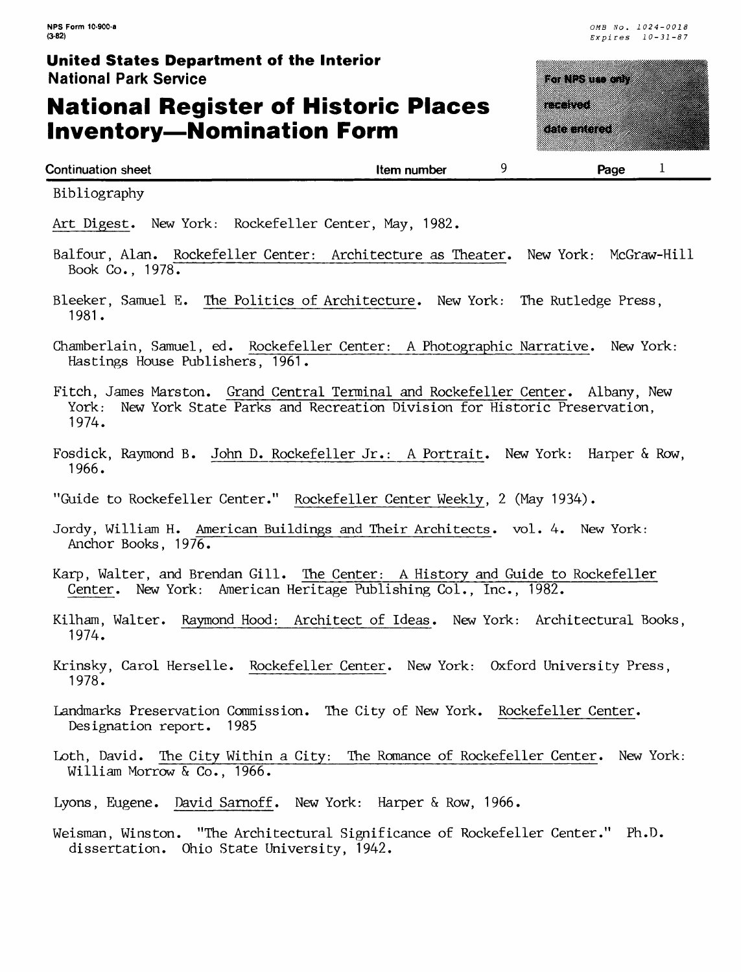## **National Register of Historic Places Inventory—Nomination Form**



| Continuation sheet | Item number | Page | - |  |
|--------------------|-------------|------|---|--|
|                    |             |      |   |  |

Bibliography

Art Digest. New York: Rockefeller Center, May, 1982.

- Balfour, Alan. Rockefeller Center: Architecture as Theater. New York: McGraw-Hill Book Co., 1978.
- Bleeker, Samuel E. The Politics of Architecture. New York: The Rutledge Press, 1981.
- Chamberlain, Samuel, ed. Rockefeller Center; A Photographic Narrative. New York: Hastings House Publishers, 1961.
- Fitch, James Marston. Grand Central Terminal and Rockefeller Center. Albany, New York: New York State Parks and Recreation Division for Historic Preservation, 1974.
- Fosdick, Raymond B. John D. Rockefeller Jr.: A Portrait. New York: Harper & Row, 1966.
- "Guide to Rockefeller Center." Rockefeller Center Weekly, 2 (May 1934).
- Jordy, William H. American Buildings and Their Architects, vol. 4. New York: Anchor Books, 1976.
- Karp, Walter, and Brendan Gill. The Center: A History and Guide to Rockefeller Center. New York: American Heritage Publishing Col., Inc., 1982.
- Kilham, Walter. Raymond Hood: Architect of Ideas. New York: Architectural Books, 1974.
- Krinsky, Carol Herselle. Rockefeller Center. New York: Oxford University Press, 1978.
- Landmarks Preservation Commission. The City of New York. Rockefeller Center. Designation report. 1985
- Loth, David. The City Within a City: The Romance of Rockefeller Center. New York: William Morrow & Co., 1966.
- Lyons, Eugene. David Sarnoff. New York: Harper & Row, 1966.
- Weisman, Winston. "The Architectural Significance of Rockefeller Center." Ph.D. dissertation. Ohio State University, 1942.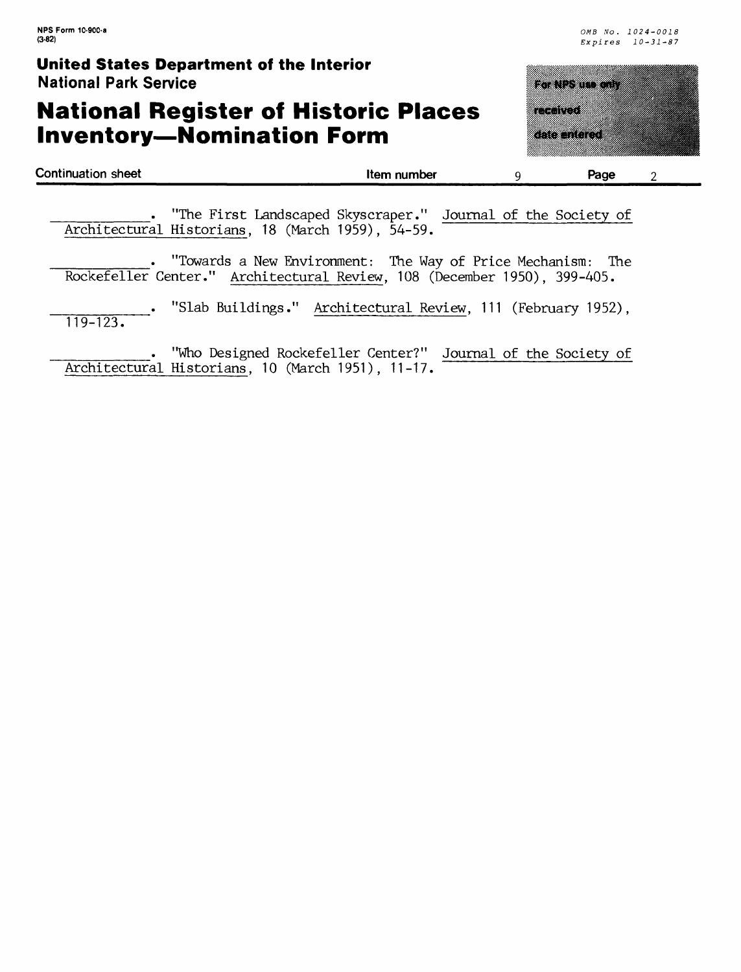## **National Register of Historic Places Inventory—Nomination Form**



|                                                   |                                                                                                                                       | . "The First Landscaped Skyscraper." Journal of the Society of |                                                                           |  |
|---------------------------------------------------|---------------------------------------------------------------------------------------------------------------------------------------|----------------------------------------------------------------|---------------------------------------------------------------------------|--|
| Architectural Historians, 18 (March 1959), 54-59. |                                                                                                                                       |                                                                |                                                                           |  |
|                                                   | $\mathbf{H} \mathbf{m}$ as so that $\mathbf{m}$ is $\mathbf{m}$ is the set of $\mathbf{m}$ in $\mathbf{m}$ is the set of $\mathbf{m}$ |                                                                | $\mathbf{m}$ . Then $\mathbf{c}$ $\mathbf{n}$ . In the state $\mathbf{r}$ |  |

\_\_\_\_\_\_\_\_. "Towards a New Environment: The Way of Price Mechanism: The Rockefeller Center." Architectural Review, 108 (December 1950), 399-405.

. "Slab Buildings." Architectural Review, 111 (February 1952), 119-123.

"Who Designed Rockefeller Center?" Journal of the Society of Architectural Historians, 10 (March 1951), 11-17.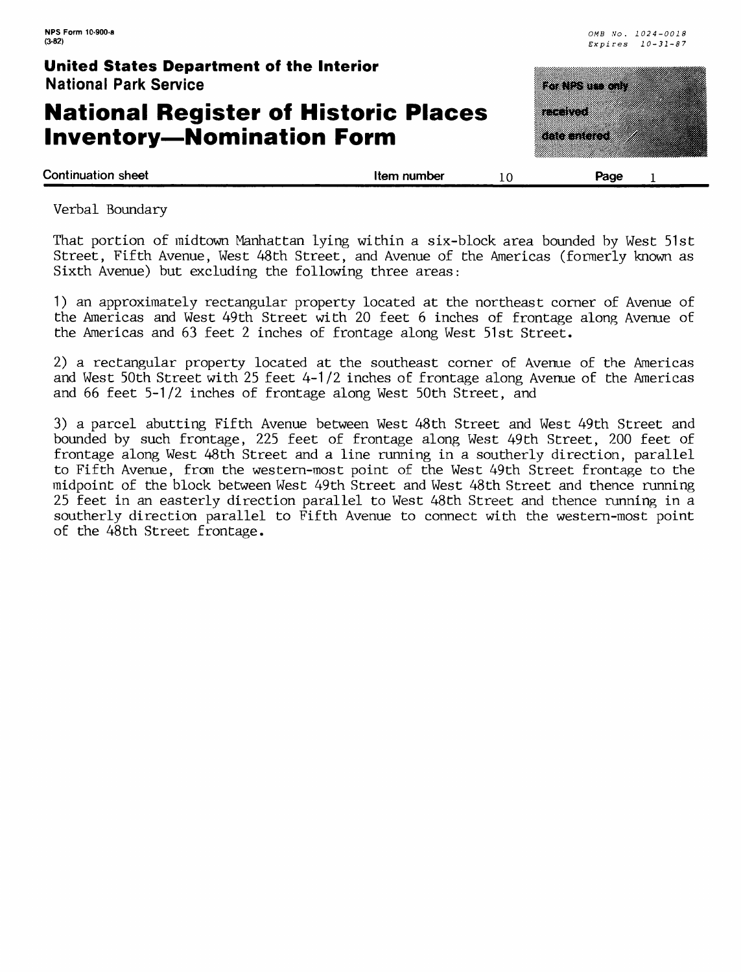## **National Register of Historic Places Inventory—Nomination Form**

|               | <u>ka tanan di</u> |  |
|---------------|--------------------|--|
| a ang pag     |                    |  |
| <u>a mata</u> |                    |  |
|               |                    |  |

**Continuation sheet** the state of the state of the state of the state of the state of the state of the state of the state of the state of the state of the state of the state of the state of the state of the state of the st

Verbal Boundary

That portion of midtown Manhattan lying within a six-block area bounded by West 51st Street, Fifth Avenue, West 48th Street, and Avenue of the Americas (formerly known as Sixth Avenue) but excluding the following three areas:

1) an approximately rectangular property located at the northeast corner of Avenue of the Americas and West 49th Street with 20 feet 6 inches of frontage along Avenue of the Americas and 63 feet 2 inches of frontage along West 51st Street.

2) a rectangular property located at the southeast corner of Avenue of the Americas and West 50th Street with 25 feet 4-1/2 inches of frontage along Avenue of the Americas and 66 feet 5-1/2 inches of frontage along West 50th Street, and

3) a parcel abutting Fifth Avenue between West 48th Street and West 49th Street and bounded by such frontage, 225 feet of frontage along West 49th Street, 200 feet of frontage along West 48th Street and a line running in a southerly direction, parallel to Fifth Avenue, from the western-most point of the West 49th Street frontage to the midpoint of the block between West 49th Street and West 48th Street and thence running 25 feet in an easterly direction parallel to West 48th Street and thence running in a southerly direction parallel to Fifth Avenue to connect with the western-most point of the 48th Street frontage.